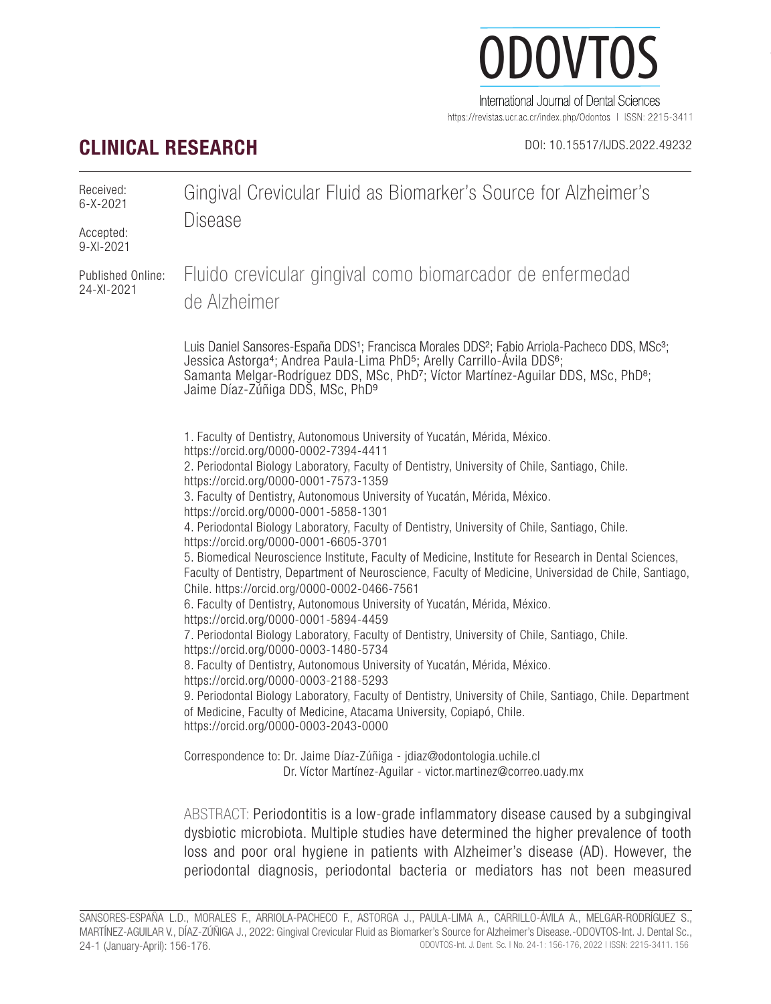

https://revistas.ucr.ac.cr/index.php/Odontos | ISSN: 2215-3411

# **CLINICAL RESEARCH** DOI: 10.15517/IJDS.2022.49232

| Received:<br>$6 - X - 2021$<br>Accepted:<br>9-XI-2021 | Gingival Crevicular Fluid as Biomarker's Source for Alzheimer's<br><b>Disease</b>                                                                                                                                                                                                                                                                                                                                                                                                                                                                                                                                                                                                                                                                                                                                                                                                                                                                                                                                                                                                                                                                                                                                                                                                                                                                                                                                           |
|-------------------------------------------------------|-----------------------------------------------------------------------------------------------------------------------------------------------------------------------------------------------------------------------------------------------------------------------------------------------------------------------------------------------------------------------------------------------------------------------------------------------------------------------------------------------------------------------------------------------------------------------------------------------------------------------------------------------------------------------------------------------------------------------------------------------------------------------------------------------------------------------------------------------------------------------------------------------------------------------------------------------------------------------------------------------------------------------------------------------------------------------------------------------------------------------------------------------------------------------------------------------------------------------------------------------------------------------------------------------------------------------------------------------------------------------------------------------------------------------------|
| Published Online:<br>24-XI-2021                       | Fluido crevicular gingival como biomarcador de enfermedad<br>de Alzheimer                                                                                                                                                                                                                                                                                                                                                                                                                                                                                                                                                                                                                                                                                                                                                                                                                                                                                                                                                                                                                                                                                                                                                                                                                                                                                                                                                   |
|                                                       | Luis Daniel Sansores-España DDS <sup>1</sup> ; Francisca Morales DDS <sup>2</sup> ; Fabio Arriola-Pacheco DDS, MSc <sup>3</sup> ;<br>Jessica Astorga <sup>4</sup> ; Andrea Paula-Lima PhD <sup>5</sup> ; Arelly Carrillo-Ávila DDS <sup>6</sup> ;<br>Samanta Melgar-Rodríguez DDS, MSc, PhD7; Víctor Martínez-Aguilar DDS, MSc, PhD <sup>8</sup> ;<br>Jaime Díaz-Zǔñiga DDŠ, MSc, PhD <sup>9</sup>                                                                                                                                                                                                                                                                                                                                                                                                                                                                                                                                                                                                                                                                                                                                                                                                                                                                                                                                                                                                                          |
|                                                       | 1. Faculty of Dentistry, Autonomous University of Yucatán, Mérida, México.<br>https://orcid.org/0000-0002-7394-4411<br>2. Periodontal Biology Laboratory, Faculty of Dentistry, University of Chile, Santiago, Chile.<br>https://orcid.org/0000-0001-7573-1359<br>3. Faculty of Dentistry, Autonomous University of Yucatán, Mérida, México.<br>https://orcid.org/0000-0001-5858-1301<br>4. Periodontal Biology Laboratory, Faculty of Dentistry, University of Chile, Santiago, Chile.<br>https://orcid.org/0000-0001-6605-3701<br>5. Biomedical Neuroscience Institute, Faculty of Medicine, Institute for Research in Dental Sciences,<br>Faculty of Dentistry, Department of Neuroscience, Faculty of Medicine, Universidad de Chile, Santiago,<br>Chile. https://orcid.org/0000-0002-0466-7561<br>6. Faculty of Dentistry, Autonomous University of Yucatán, Mérida, México.<br>https://orcid.org/0000-0001-5894-4459<br>7. Periodontal Biology Laboratory, Faculty of Dentistry, University of Chile, Santiago, Chile.<br>https://orcid.org/0000-0003-1480-5734<br>8. Faculty of Dentistry, Autonomous University of Yucatán, Mérida, México.<br>https://orcid.org/0000-0003-2188-5293<br>9. Periodontal Biology Laboratory, Faculty of Dentistry, University of Chile, Santiago, Chile. Department<br>of Medicine, Faculty of Medicine, Atacama University, Copiapó, Chile.<br>https://orcid.org/0000-0003-2043-0000 |
|                                                       | Correspondence to: Dr. Jaime Díaz-Zúñiga - jdiaz@odontologia.uchile.cl<br>Dr. Víctor Martínez-Aguilar - victor.martinez@correo.uady.mx                                                                                                                                                                                                                                                                                                                                                                                                                                                                                                                                                                                                                                                                                                                                                                                                                                                                                                                                                                                                                                                                                                                                                                                                                                                                                      |
|                                                       | ABSTRACT: Periodontitis is a low-grade inflammatory disease caused by a subgingival<br>dysbiotic microbiota. Multiple studies have determined the higher prevalence of tooth<br>loss and poor oral hygiene in patients with Alzheimer's disease (AD). However, the                                                                                                                                                                                                                                                                                                                                                                                                                                                                                                                                                                                                                                                                                                                                                                                                                                                                                                                                                                                                                                                                                                                                                          |

periodontal diagnosis, periodontal bacteria or mediators has not been measured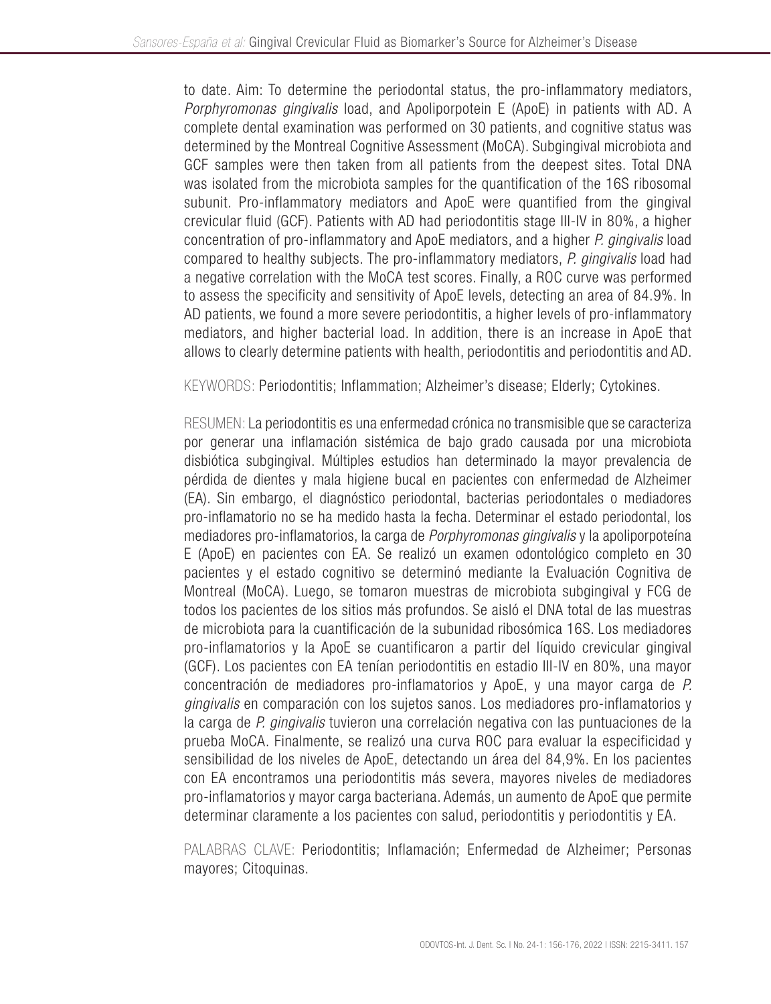to date. Aim: To determine the periodontal status, the pro-inflammatory mediators, *Porphyromonas gingivalis* load, and Apoliporpotein E (ApoE) in patients with AD. A complete dental examination was performed on 30 patients, and cognitive status was determined by the Montreal Cognitive Assessment (MoCA). Subgingival microbiota and GCF samples were then taken from all patients from the deepest sites. Total DNA was isolated from the microbiota samples for the quantification of the 16S ribosomal subunit. Pro-inflammatory mediators and ApoE were quantified from the gingival crevicular fluid (GCF). Patients with AD had periodontitis stage III-IV in 80%, a higher concentration of pro-inflammatory and ApoE mediators, and a higher *P. gingivalis* load compared to healthy subjects. The pro-inflammatory mediators, *P. gingivalis* load had a negative correlation with the MoCA test scores. Finally, a ROC curve was performed to assess the specificity and sensitivity of ApoE levels, detecting an area of 84.9%. In AD patients, we found a more severe periodontitis, a higher levels of pro-inflammatory mediators, and higher bacterial load. In addition, there is an increase in ApoE that allows to clearly determine patients with health, periodontitis and periodontitis and AD.

KEYWORDS: Periodontitis; Inflammation; Alzheimer's disease; Elderly; Cytokines.

RESUMEN: La periodontitis es una enfermedad crónica no transmisible que se caracteriza por generar una inflamación sistémica de bajo grado causada por una microbiota disbiótica subgingival. Múltiples estudios han determinado la mayor prevalencia de pérdida de dientes y mala higiene bucal en pacientes con enfermedad de Alzheimer (EA). Sin embargo, el diagnóstico periodontal, bacterias periodontales o mediadores pro-inflamatorio no se ha medido hasta la fecha. Determinar el estado periodontal, los mediadores pro-inflamatorios, la carga de *Porphyromonas gingivalis* y la apoliporpoteína E (ApoE) en pacientes con EA. Se realizó un examen odontológico completo en 30 pacientes y el estado cognitivo se determinó mediante la Evaluación Cognitiva de Montreal (MoCA). Luego, se tomaron muestras de microbiota subgingival y FCG de todos los pacientes de los sitios más profundos. Se aisló el DNA total de las muestras de microbiota para la cuantificación de la subunidad ribosómica 16S. Los mediadores pro-inflamatorios y la ApoE se cuantificaron a partir del líquido crevicular gingival (GCF). Los pacientes con EA tenían periodontitis en estadio III-IV en 80%, una mayor concentración de mediadores pro-inflamatorios y ApoE, y una mayor carga de *P. gingivalis* en comparación con los sujetos sanos. Los mediadores pro-inflamatorios y la carga de *P. gingivalis* tuvieron una correlación negativa con las puntuaciones de la prueba MoCA. Finalmente, se realizó una curva ROC para evaluar la especificidad y sensibilidad de los niveles de ApoE, detectando un área del 84,9%. En los pacientes con EA encontramos una periodontitis más severa, mayores niveles de mediadores pro-inflamatorios y mayor carga bacteriana. Además, un aumento de ApoE que permite determinar claramente a los pacientes con salud, periodontitis y periodontitis y EA.

PALABRAS CLAVE: Periodontitis; Inflamación; Enfermedad de Alzheimer; Personas mayores; Citoquinas.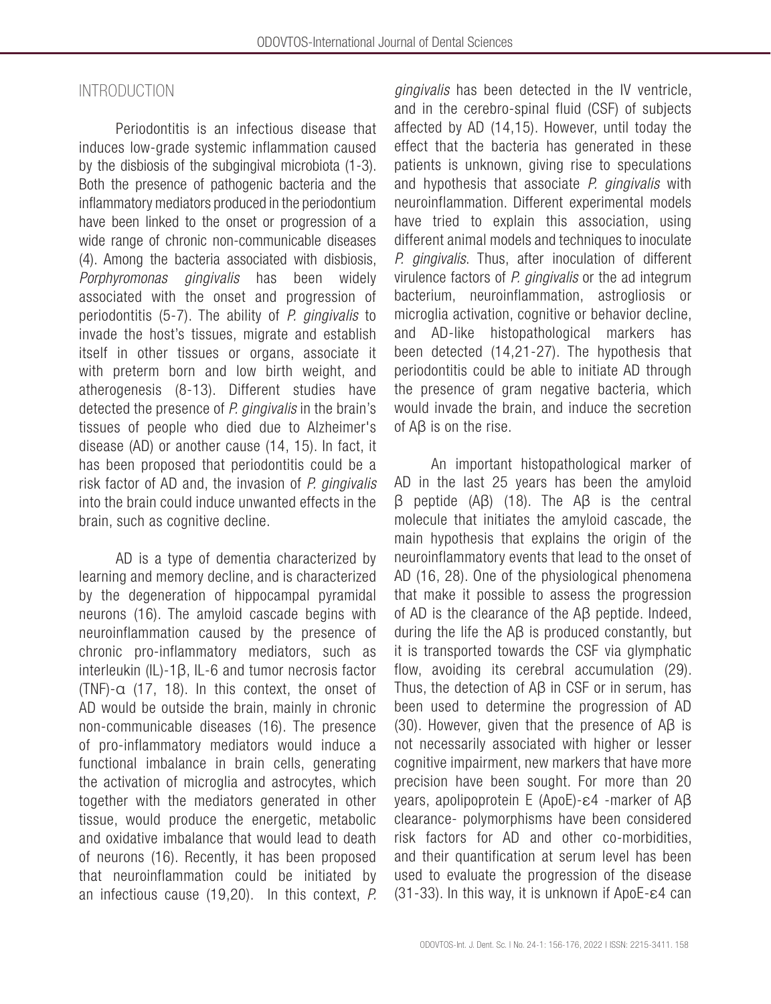### INTRODUCTION

Periodontitis is an infectious disease that induces low-grade systemic inflammation caused by the disbiosis of the subgingival microbiota (1-3). Both the presence of pathogenic bacteria and the inflammatory mediators produced in the periodontium have been linked to the onset or progression of a wide range of chronic non-communicable diseases (4). Among the bacteria associated with disbiosis, *Porphyromonas gingivalis* has been widely associated with the onset and progression of periodontitis (5-7). The ability of *P. gingivalis* to invade the host's tissues, migrate and establish itself in other tissues or organs, associate it with preterm born and low birth weight, and atherogenesis (8-13). Different studies have detected the presence of *P. gingivalis* in the brain's tissues of people who died due to Alzheimer's disease (AD) or another cause (14, 15). In fact, it has been proposed that periodontitis could be a risk factor of AD and, the invasion of *P. gingivalis*  into the brain could induce unwanted effects in the brain, such as cognitive decline.

AD is a type of dementia characterized by learning and memory decline, and is characterized by the degeneration of hippocampal pyramidal neurons (16). The amyloid cascade begins with neuroinflammation caused by the presence of chronic pro-inflammatory mediators, such as interleukin (IL)-1β, IL-6 and tumor necrosis factor (TNF)-α (17, 18). In this context, the onset of AD would be outside the brain, mainly in chronic non-communicable diseases (16). The presence of pro-inflammatory mediators would induce a functional imbalance in brain cells, generating the activation of microglia and astrocytes, which together with the mediators generated in other tissue, would produce the energetic, metabolic and oxidative imbalance that would lead to death of neurons (16). Recently, it has been proposed that neuroinflammation could be initiated by an infectious cause (19,20). In this context, *P.* 

*gingivalis* has been detected in the IV ventricle, and in the cerebro-spinal fluid (CSF) of subjects affected by AD (14,15). However, until today the effect that the bacteria has generated in these patients is unknown, giving rise to speculations and hypothesis that associate *P. gingivalis* with neuroinflammation. Different experimental models have tried to explain this association, using different animal models and techniques to inoculate *P. gingivalis*. Thus, after inoculation of different virulence factors of *P. gingivalis* or the ad integrum bacterium, neuroinflammation, astrogliosis or microglia activation, cognitive or behavior decline, and AD-like histopathological markers has been detected (14,21-27). The hypothesis that periodontitis could be able to initiate AD through the presence of gram negative bacteria, which would invade the brain, and induce the secretion of Aβ is on the rise.

An important histopathological marker of AD in the last 25 years has been the amyloid β peptide (Aβ) (18). The Aβ is the central molecule that initiates the amyloid cascade, the main hypothesis that explains the origin of the neuroinflammatory events that lead to the onset of AD (16, 28). One of the physiological phenomena that make it possible to assess the progression of AD is the clearance of the Aβ peptide. Indeed, during the life the Aβ is produced constantly, but it is transported towards the CSF via glymphatic flow, avoiding its cerebral accumulation (29). Thus, the detection of Aβ in CSF or in serum, has been used to determine the progression of AD (30). However, given that the presence of Aβ is not necessarily associated with higher or lesser cognitive impairment, new markers that have more precision have been sought. For more than 20 years, apolipoprotein E (ApoE)-ε4 -marker of Aβ clearance- polymorphisms have been considered risk factors for AD and other co-morbidities, and their quantification at serum level has been used to evaluate the progression of the disease (31-33). In this way, it is unknown if ApoE-ε4 can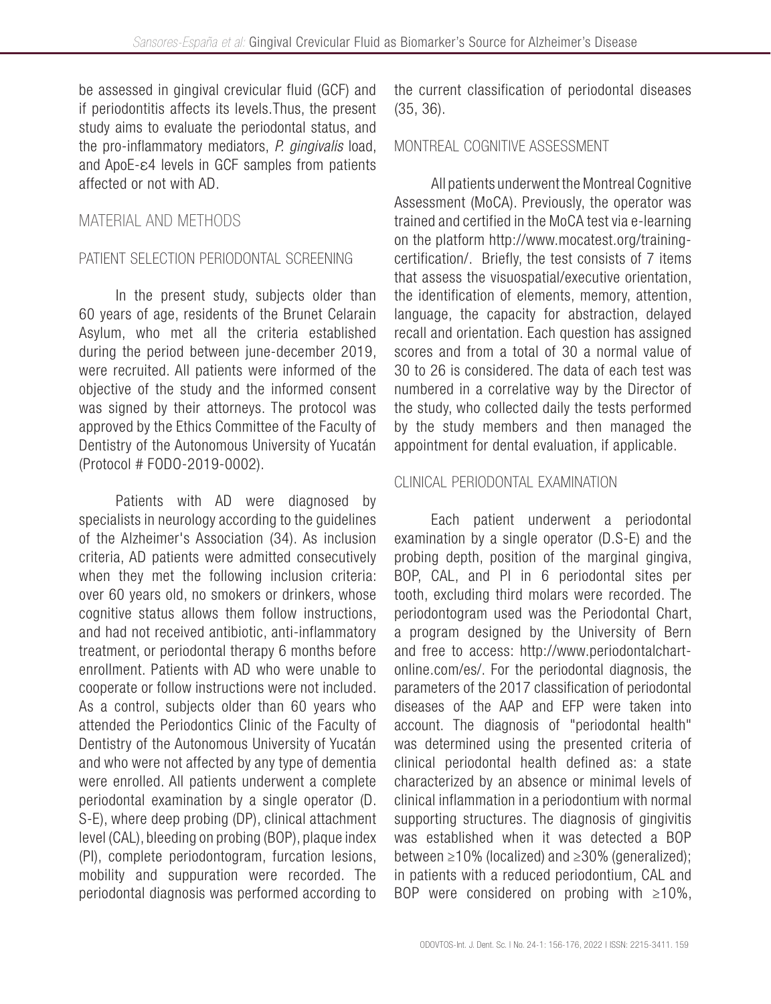be assessed in gingival crevicular fluid (GCF) and if periodontitis affects its levels.Thus, the present study aims to evaluate the periodontal status, and the pro-inflammatory mediators, *P. gingivalis* load, and ApoE-ε4 levels in GCF samples from patients affected or not with AD.

# MATERIAL AND METHODS

### PATIENT SELECTION PERIODONTAL SCREENING

In the present study, subjects older than 60 years of age, residents of the Brunet Celarain Asylum, who met all the criteria established during the period between june-december 2019, were recruited. All patients were informed of the objective of the study and the informed consent was signed by their attorneys. The protocol was approved by the Ethics Committee of the Faculty of Dentistry of the Autonomous University of Yucatán (Protocol # FODO-2019-0002).

Patients with AD were diagnosed by specialists in neurology according to the guidelines of the Alzheimer's Association (34). As inclusion criteria, AD patients were admitted consecutively when they met the following inclusion criteria: over 60 years old, no smokers or drinkers, whose cognitive status allows them follow instructions, and had not received antibiotic, anti-inflammatory treatment, or periodontal therapy 6 months before enrollment. Patients with AD who were unable to cooperate or follow instructions were not included. As a control, subjects older than 60 years who attended the Periodontics Clinic of the Faculty of Dentistry of the Autonomous University of Yucatán and who were not affected by any type of dementia were enrolled. All patients underwent a complete periodontal examination by a single operator (D. S-E), where deep probing (DP), clinical attachment level (CAL), bleeding on probing (BOP), plaque index (PI), complete periodontogram, furcation lesions, mobility and suppuration were recorded. The periodontal diagnosis was performed according to

the current classification of periodontal diseases (35, 36).

### MONTREAL COGNITIVE ASSESSMENT

All patients underwent the Montreal Cognitive Assessment (MoCA). Previously, the operator was trained and certified in the MoCA test via e-learning on the platform http://www.mocatest.org/trainingcertification/. Briefly, the test consists of 7 items that assess the visuospatial/executive orientation, the identification of elements, memory, attention, language, the capacity for abstraction, delayed recall and orientation. Each question has assigned scores and from a total of 30 a normal value of 30 to 26 is considered. The data of each test was numbered in a correlative way by the Director of the study, who collected daily the tests performed by the study members and then managed the appointment for dental evaluation, if applicable.

### CLINICAL PERIODONTAL EXAMINATION

Each patient underwent a periodontal examination by a single operator (D.S-E) and the probing depth, position of the marginal gingiva, BOP, CAL, and PI in 6 periodontal sites per tooth, excluding third molars were recorded. The periodontogram used was the Periodontal Chart, a program designed by the University of Bern and free to access: http://www.periodontalchartonline.com/es/. For the periodontal diagnosis, the parameters of the 2017 classification of periodontal diseases of the AAP and EFP were taken into account. The diagnosis of "periodontal health" was determined using the presented criteria of clinical periodontal health defined as: a state characterized by an absence or minimal levels of clinical inflammation in a periodontium with normal supporting structures. The diagnosis of gingivitis was established when it was detected a BOP between ≥10% (localized) and ≥30% (generalized); in patients with a reduced periodontium, CAL and BOP were considered on probing with  $\geq 10\%$ ,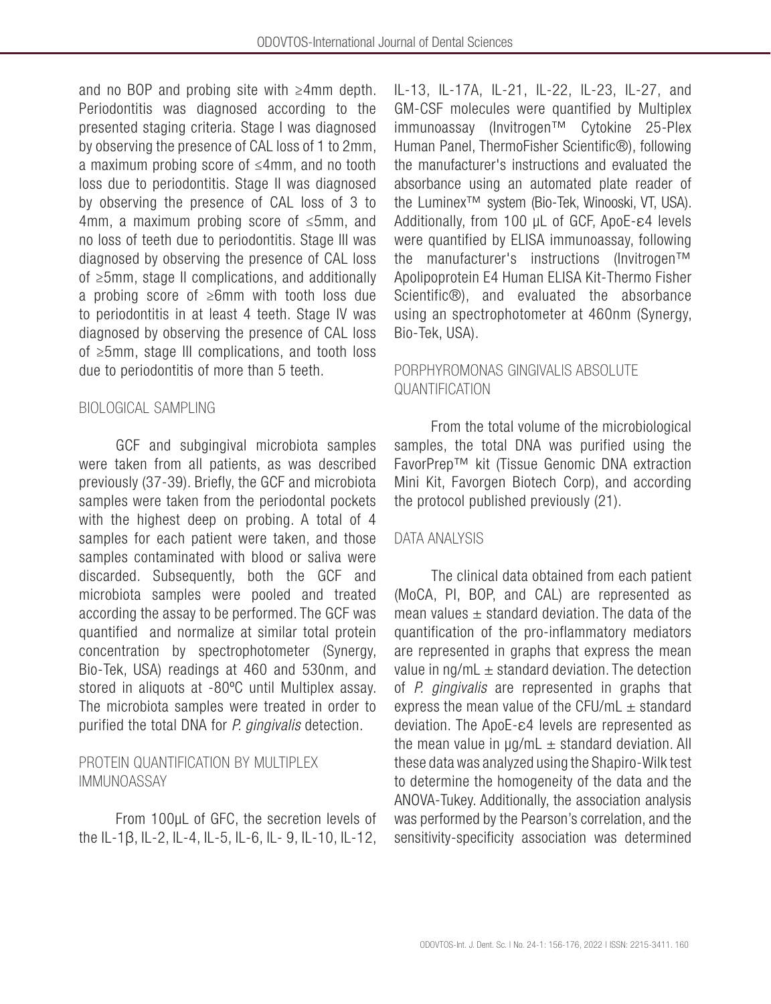and no BOP and probing site with ≥4mm depth. Periodontitis was diagnosed according to the presented staging criteria. Stage I was diagnosed by observing the presence of CAL loss of 1 to 2mm, a maximum probing score of ≤4mm, and no tooth loss due to periodontitis. Stage II was diagnosed by observing the presence of CAL loss of 3 to 4mm, a maximum probing score of ≤5mm, and no loss of teeth due to periodontitis. Stage III was diagnosed by observing the presence of CAL loss of ≥5mm, stage II complications, and additionally a probing score of ≥6mm with tooth loss due to periodontitis in at least 4 teeth. Stage IV was diagnosed by observing the presence of CAL loss of ≥5mm, stage III complications, and tooth loss due to periodontitis of more than 5 teeth.

### BIOLOGICAL SAMPLING

GCF and subgingival microbiota samples were taken from all patients, as was described previously (37-39). Briefly, the GCF and microbiota samples were taken from the periodontal pockets with the highest deep on probing. A total of 4 samples for each patient were taken, and those samples contaminated with blood or saliva were discarded. Subsequently, both the GCF and microbiota samples were pooled and treated according the assay to be performed. The GCF was quantified and normalize at similar total protein concentration by spectrophotometer (Synergy, Bio-Tek, USA) readings at 460 and 530nm, and stored in aliquots at -80ºC until Multiplex assay. The microbiota samples were treated in order to purified the total DNA for *P. gingivalis* detection.

### PROTEIN QUANTIFICATION BY MULTIPLEX IMMUNOASSAY

From 100μL of GFC, the secretion levels of the IL-1β, IL-2, IL-4, IL-5, IL-6, IL- 9, IL-10, IL-12, IL-13, IL-17A, IL-21, IL-22, IL-23, IL-27, and GM-CSF molecules were quantified by Multiplex immunoassay (Invitrogen™ Cytokine 25-Plex Human Panel, ThermoFisher Scientific®), following the manufacturer's instructions and evaluated the absorbance using an automated plate reader of the Luminex™ system (Bio-Tek, Winooski, VT, USA). Additionally, from 100 μL of GCF, ApoE-ε4 levels were quantified by ELISA immunoassay, following the manufacturer's instructions (Invitrogen™ Apolipoprotein E4 Human ELISA Kit-Thermo Fisher Scientific®), and evaluated the absorbance using an spectrophotometer at 460nm (Synergy, Bio-Tek, USA).

### PORPHYROMONAS GINGIVALIS ABSOLUTE QUANTIFICATION

From the total volume of the microbiological samples, the total DNA was purified using the FavorPrep™ kit (Tissue Genomic DNA extraction Mini Kit, Favorgen Biotech Corp), and according the protocol published previously (21).

### DATA ANALYSIS

The clinical data obtained from each patient (MoCA, PI, BOP, and CAL) are represented as mean values  $\pm$  standard deviation. The data of the quantification of the pro-inflammatory mediators are represented in graphs that express the mean value in  $nq/mL \pm standard deviation$ . The detection of *P. gingivalis* are represented in graphs that express the mean value of the CFU/mL  $\pm$  standard deviation. The ApoE-ε4 levels are represented as the mean value in  $\mu$ g/mL  $\pm$  standard deviation. All these data was analyzed using the Shapiro-Wilk test to determine the homogeneity of the data and the ANOVA-Tukey. Additionally, the association analysis was performed by the Pearson's correlation, and the sensitivity-specificity association was determined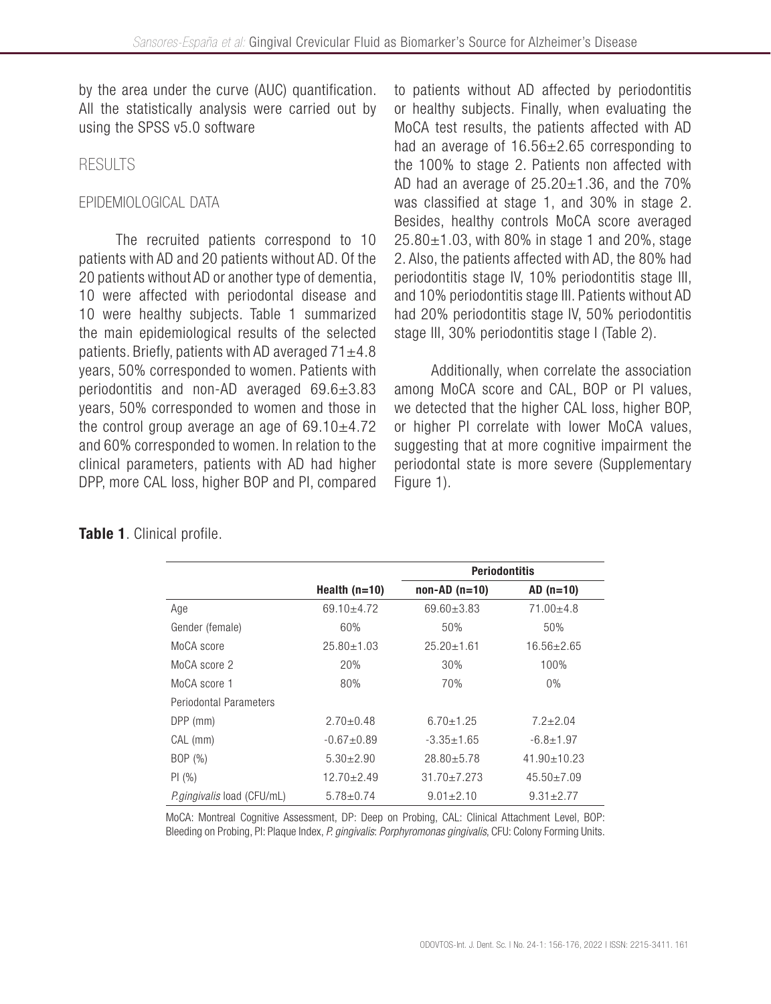by the area under the curve (AUC) quantification. All the statistically analysis were carried out by using the SPSS v5.0 software

### RESULTS

### EPIDEMIOLOGICAL DATA

The recruited patients correspond to 10 patients with AD and 20 patients without AD. Of the 20 patients without AD or another type of dementia, 10 were affected with periodontal disease and 10 were healthy subjects. Table 1 summarized the main epidemiological results of the selected patients. Briefly, patients with AD averaged  $71\pm4.8$ years, 50% corresponded to women. Patients with periodontitis and non-AD averaged 69.6±3.83 years, 50% corresponded to women and those in the control group average an age of  $69.10 \pm 4.72$ and 60% corresponded to women. In relation to the clinical parameters, patients with AD had higher DPP, more CAL loss, higher BOP and PI, compared to patients without AD affected by periodontitis or healthy subjects. Finally, when evaluating the MoCA test results, the patients affected with AD had an average of 16.56±2.65 corresponding to the 100% to stage 2. Patients non affected with AD had an average of  $25.20\pm1.36$ , and the 70% was classified at stage 1, and 30% in stage 2. Besides, healthy controls MoCA score averaged  $25.80 \pm 1.03$ , with 80% in stage 1 and 20%, stage 2. Also, the patients affected with AD, the 80% had periodontitis stage IV, 10% periodontitis stage III, and 10% periodontitis stage III. Patients without AD had 20% periodontitis stage IV, 50% periodontitis stage III, 30% periodontitis stage I (Table 2).

Additionally, when correlate the association among MoCA score and CAL, BOP or PI values, we detected that the higher CAL loss, higher BOP, or higher PI correlate with lower MoCA values, suggesting that at more cognitive impairment the periodontal state is more severe (Supplementary Figure 1).

|                               | Health $(n=10)$  | <b>Periodontitis</b> |                   |
|-------------------------------|------------------|----------------------|-------------------|
|                               |                  | $non-AD (n=10)$      | $AD(n=10)$        |
| Age                           | $69.10 + 4.72$   | $69.60 \pm 3.83$     | $71.00 + 4.8$     |
| Gender (female)               | 60%              | 50%                  | 50%               |
| MoCA score                    | $25.80 \pm 1.03$ | $25.20 \pm 1.61$     | $16.56 \pm 2.65$  |
| MoCA score 2                  | 20%              | 30%                  | 100%              |
| MoCA score 1                  | 80%              | 70%                  | $0\%$             |
| <b>Periodontal Parameters</b> |                  |                      |                   |
| DPP (mm)                      | $2.70 \pm 0.48$  | $6.70 + 1.25$        | $7.2 + 2.04$      |
| CAL (mm)                      | $-0.67 + 0.89$   | $-3.35 \pm 1.65$     | $-6.8 \pm 1.97$   |
| BOP (%)                       | $5.30 \pm 2.90$  | $28.80 \pm 5.78$     | $41.90 \pm 10.23$ |
| PI(%)                         | $12.70 \pm 2.49$ | $31.70 + 7.273$      | $45.50 \pm 7.09$  |
| P.gingivalis load (CFU/mL)    | $5.78 \pm 0.74$  | $9.01 \pm 2.10$      | $9.31 \pm 2.77$   |

### Table 1. Clinical profile.

MoCA: Montreal Cognitive Assessment, DP: Deep on Probing, CAL: Clinical Attachment Level, BOP: Bleeding on Probing, PI: Plaque Index, *P. gingivalis*: *Porphyromonas gingivalis*, CFU: Colony Forming Units.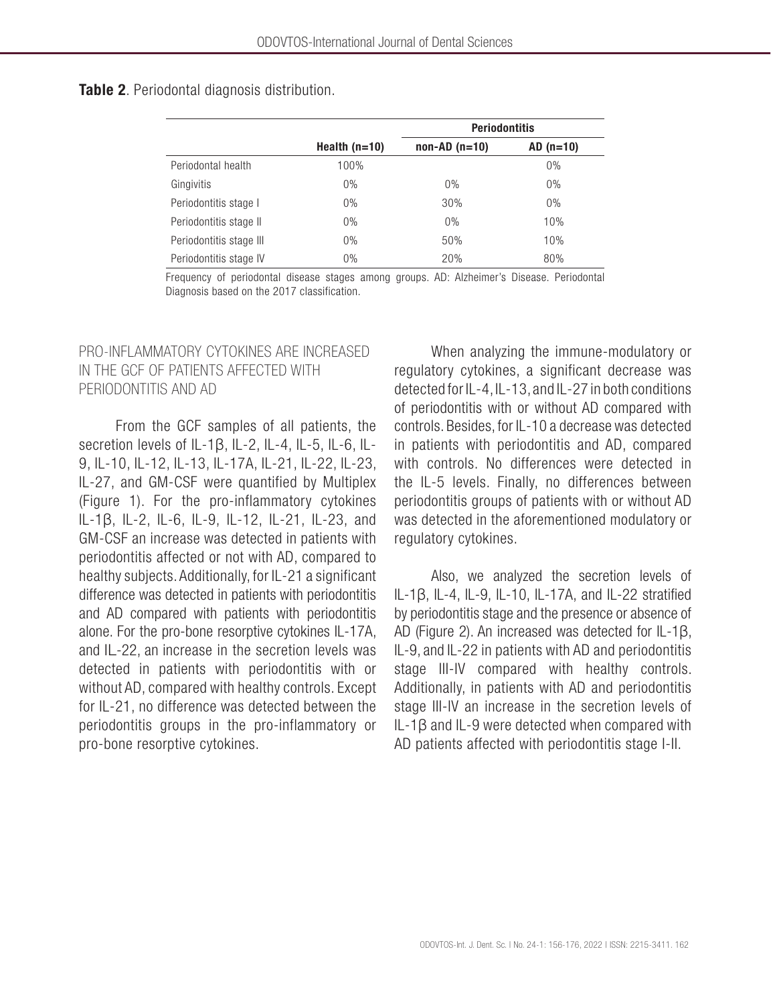#### Table 2. Periodontal diagnosis distribution.

|                         |                 | <b>Periodontitis</b> |            |
|-------------------------|-----------------|----------------------|------------|
|                         | Health $(n=10)$ | $non-AD(n=10)$       | $AD(n=10)$ |
| Periodontal health      | 100%            |                      | 0%         |
| Gingivitis              | $0\%$           | 0%                   | 0%         |
| Periodontitis stage I   | $0\%$           | 30%                  | 0%         |
| Periodontitis stage II  | $0\%$           | 0%                   | 10%        |
| Periodontitis stage III | $0\%$           | 50%                  | 10%        |
| Periodontitis stage IV  | $0\%$           | 20%                  | 80%        |

Frequency of periodontal disease stages among groups. AD: Alzheimer's Disease. Periodontal Diagnosis based on the 2017 classification.

### PRO-INFLAMMATORY CYTOKINES ARE INCREASED IN THE GCF OF PATIENTS AFFECTED WITH PERIODONTITIS AND AD

From the GCF samples of all patients, the secretion levels of IL-1β, IL-2, IL-4, IL-5, IL-6, IL-9, IL-10, IL-12, IL-13, IL-17A, IL-21, IL-22, IL-23, IL-27, and GM-CSF were quantified by Multiplex (Figure 1). For the pro-inflammatory cytokines IL-1β, IL-2, IL-6, IL-9, IL-12, IL-21, IL-23, and GM-CSF an increase was detected in patients with periodontitis affected or not with AD, compared to healthy subjects. Additionally, for IL-21 a significant difference was detected in patients with periodontitis and AD compared with patients with periodontitis alone. For the pro-bone resorptive cytokines IL-17A, and IL-22, an increase in the secretion levels was detected in patients with periodontitis with or without AD, compared with healthy controls. Except for IL-21, no difference was detected between the periodontitis groups in the pro-inflammatory or pro-bone resorptive cytokines.

When analyzing the immune-modulatory or regulatory cytokines, a significant decrease was detected for IL-4, IL-13, and IL-27 in both conditions of periodontitis with or without AD compared with controls. Besides, for IL-10 a decrease was detected in patients with periodontitis and AD, compared with controls. No differences were detected in the IL-5 levels. Finally, no differences between periodontitis groups of patients with or without AD was detected in the aforementioned modulatory or regulatory cytokines.

Also, we analyzed the secretion levels of IL-1β, IL-4, IL-9, IL-10, IL-17A, and IL-22 stratified by periodontitis stage and the presence or absence of AD (Figure 2). An increased was detected for IL-1β, IL-9, and IL-22 in patients with AD and periodontitis stage III-IV compared with healthy controls. Additionally, in patients with AD and periodontitis stage III-IV an increase in the secretion levels of IL-1β and IL-9 were detected when compared with AD patients affected with periodontitis stage I-II.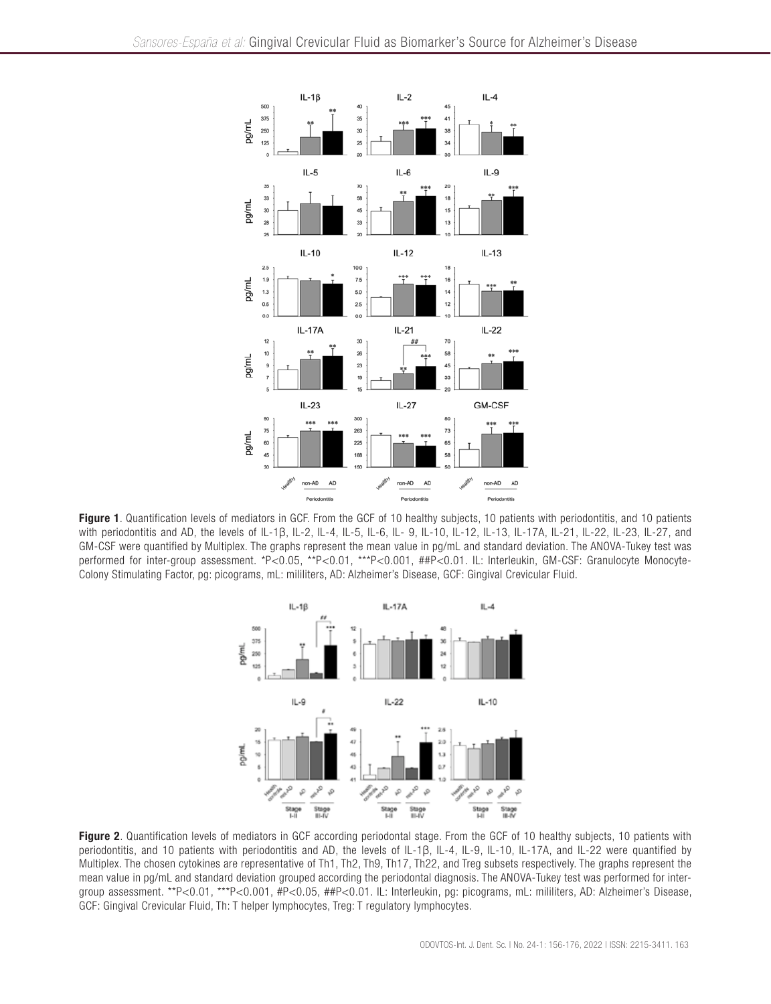

Figure 1. Quantification levels of mediators in GCF. From the GCF of 10 healthy subjects, 10 patients with periodontitis, and 10 patients with periodontitis and AD, the levels of IL-1β, IL-2, IL-4, IL-5, IL-6, IL- 9, IL-10, IL-12, IL-13, IL-17A, IL-21, IL-22, IL-23, IL-27, and GM-CSF were quantified by Multiplex. The graphs represent the mean value in pg/mL and standard deviation. The ANOVA-Tukey test was performed for inter-group assessment. \*P<0.05, \*\*P<0.01, \*\*\*P<0.001, ##P<0.01. IL: Interleukin, GM-CSF: Granulocyte Monocyte-Colony Stimulating Factor, pg: picograms, mL: mililiters, AD: Alzheimer's Disease, GCF: Gingival Crevicular Fluid.



Figure 2. Quantification levels of mediators in GCF according periodontal stage. From the GCF of 10 healthy subjects, 10 patients with periodontitis, and 10 patients with periodontitis and AD, the levels of IL-1β, IL-4, IL-9, IL-10, IL-17A, and IL-22 were quantified by Multiplex. The chosen cytokines are representative of Th1, Th2, Th9, Th17, Th22, and Treg subsets respectively. The graphs represent the mean value in pg/mL and standard deviation grouped according the periodontal diagnosis. The ANOVA-Tukey test was performed for intergroup assessment. \*\*P<0.01, \*\*\*P<0.001, #P<0.05, ##P<0.01. IL: Interleukin, pg: picograms, mL: mililiters, AD: Alzheimer's Disease, GCF: Gingival Crevicular Fluid, Th: T helper lymphocytes, Treg: T regulatory lymphocytes.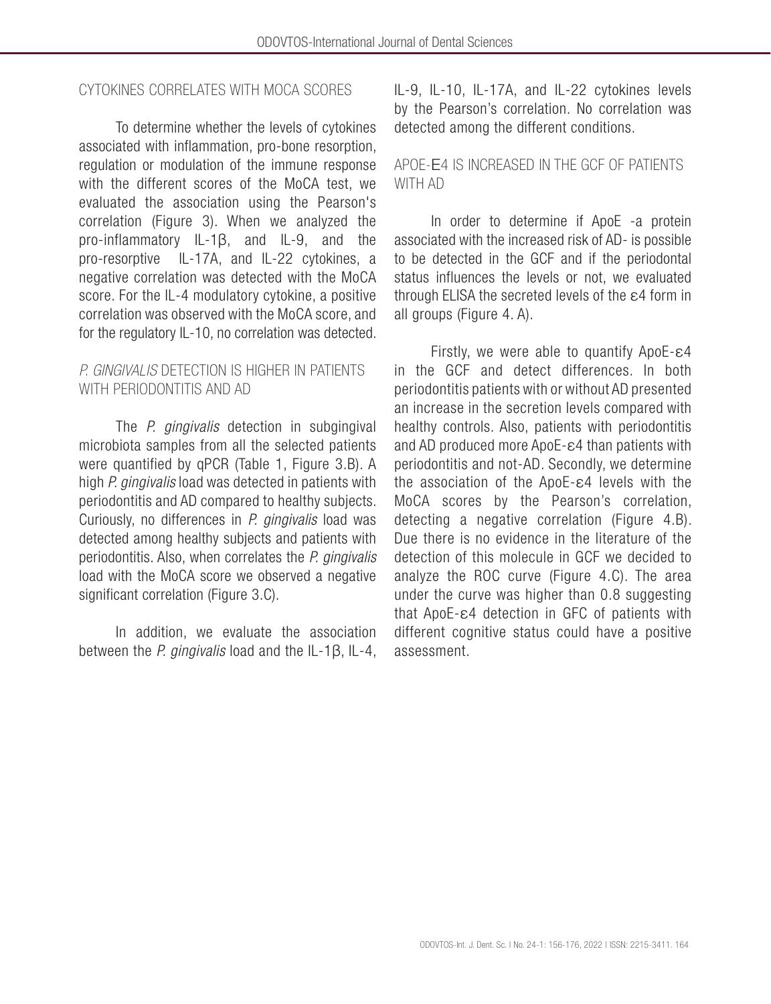### CYTOKINES CORRELATES WITH MOCA SCORES

To determine whether the levels of cytokines associated with inflammation, pro-bone resorption, regulation or modulation of the immune response with the different scores of the MoCA test, we evaluated the association using the Pearson's correlation (Figure 3). When we analyzed the pro-inflammatory IL-1β, and IL-9, and the pro-resorptive IL-17A, and IL-22 cytokines, a negative correlation was detected with the MoCA score. For the IL-4 modulatory cytokine, a positive correlation was observed with the MoCA score, and for the regulatory IL-10, no correlation was detected.

### *P. GINGIVALIS* DETECTION IS HIGHER IN PATIENTS WITH PERIODONTITIS AND AD

The *P. gingivalis* detection in subgingival microbiota samples from all the selected patients were quantified by qPCR (Table 1, Figure 3.B). A high *P. gingivalis* load was detected in patients with periodontitis and AD compared to healthy subjects. Curiously, no differences in *P. gingivalis* load was detected among healthy subjects and patients with periodontitis. Also, when correlates the *P. gingivalis*  load with the MoCA score we observed a negative significant correlation (Figure 3.C).

In addition, we evaluate the association between the *P. gingivalis* load and the IL-1β, IL-4, IL-9, IL-10, IL-17A, and IL-22 cytokines levels by the Pearson's correlation. No correlation was detected among the different conditions.

### APOE-Ε4 IS INCREASED IN THE GCF OF PATIENTS WITH AD

In order to determine if ApoE -a protein associated with the increased risk of AD- is possible to be detected in the GCF and if the periodontal status influences the levels or not, we evaluated through ELISA the secreted levels of the ε4 form in all groups (Figure 4. A).

Firstly, we were able to quantify ApoE-ε4 in the GCF and detect differences. In both periodontitis patients with or without AD presented an increase in the secretion levels compared with healthy controls. Also, patients with periodontitis and AD produced more ApoE-ε4 than patients with periodontitis and not-AD. Secondly, we determine the association of the ApoE-ε4 levels with the MoCA scores by the Pearson's correlation, detecting a negative correlation (Figure 4.B). Due there is no evidence in the literature of the detection of this molecule in GCF we decided to analyze the ROC curve (Figure 4.C). The area under the curve was higher than 0.8 suggesting that ApoE-ε4 detection in GFC of patients with different cognitive status could have a positive assessment.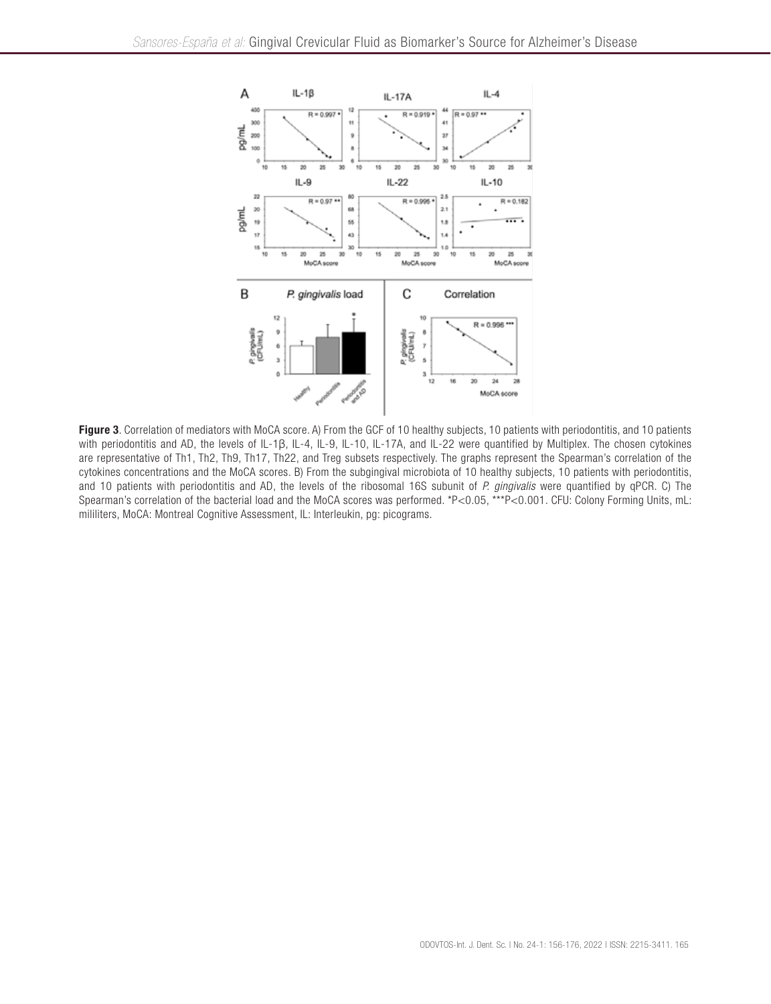

Figure 3. Correlation of mediators with MoCA score. A) From the GCF of 10 healthy subjects, 10 patients with periodontitis, and 10 patients with periodontitis and AD, the levels of IL-1β, IL-4, IL-9, IL-10, IL-17A, and IL-22 were quantified by Multiplex. The chosen cytokines are representative of Th1, Th2, Th9, Th17, Th22, and Treg subsets respectively. The graphs represent the Spearman's correlation of the cytokines concentrations and the MoCA scores. B) From the subgingival microbiota of 10 healthy subjects, 10 patients with periodontitis, and 10 patients with periodontitis and AD, the levels of the ribosomal 16S subunit of *P. gingivalis* were quantified by qPCR. C) The Spearman's correlation of the bacterial load and the MoCA scores was performed. \*P<0.05, \*\*\*P<0.001. CFU: Colony Forming Units, mL: mililiters, MoCA: Montreal Cognitive Assessment, IL: Interleukin, pg: picograms.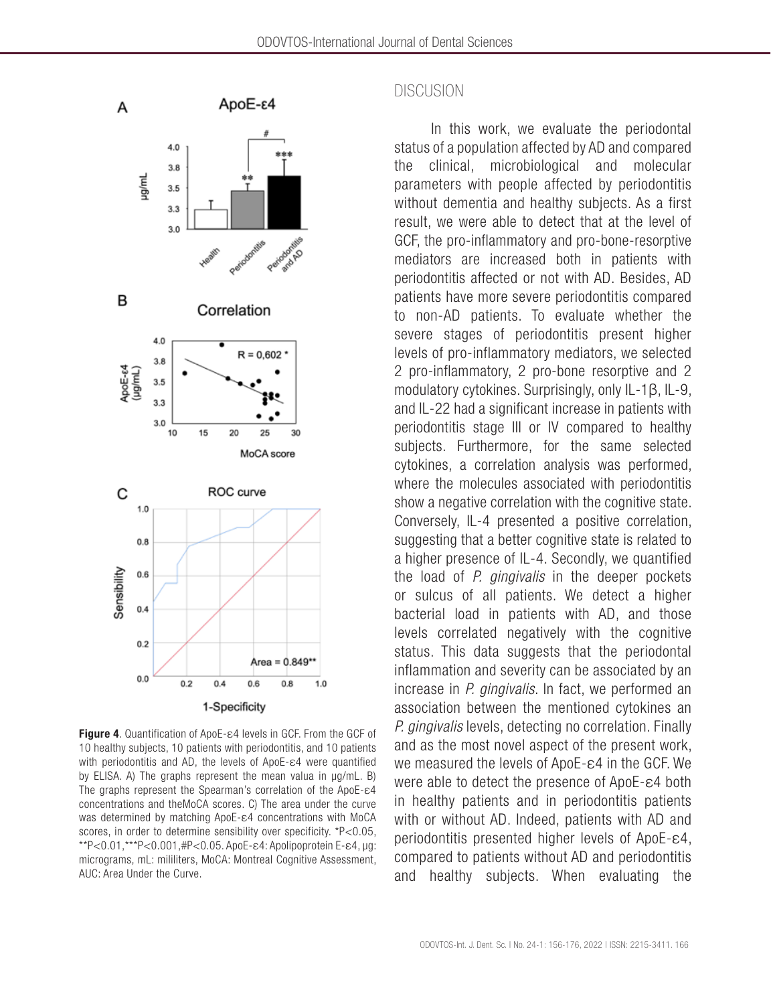

Figure 4. Quantification of ApoE-ε4 levels in GCF. From the GCF of 10 healthy subjects, 10 patients with periodontitis, and 10 patients with periodontitis and AD, the levels of ApoE-ε4 were quantified by ELISA. A) The graphs represent the mean valua in μg/mL. B) The graphs represent the Spearman's correlation of the ApoE-ε4 concentrations and theMoCA scores. C) The area under the curve was determined by matching ApoE-ε4 concentrations with MoCA scores, in order to determine sensibility over specificity. \*P<0.05, \*\*P<0.01,\*\*\*P<0.001,#P<0.05. ApoE-ε4: Apolipoprotein E-ε4, μg: micrograms, mL: mililiters, MoCA: Montreal Cognitive Assessment, AUC: Area Under the Curve.

#### **DISCUSION**

In this work, we evaluate the periodontal status of a population affected by AD and compared the clinical, microbiological and molecular parameters with people affected by periodontitis without dementia and healthy subjects. As a first result, we were able to detect that at the level of GCF, the pro-inflammatory and pro-bone-resorptive mediators are increased both in patients with periodontitis affected or not with AD. Besides, AD patients have more severe periodontitis compared to non-AD patients. To evaluate whether the severe stages of periodontitis present higher levels of pro-inflammatory mediators, we selected 2 pro-inflammatory, 2 pro-bone resorptive and 2 modulatory cytokines. Surprisingly, only IL-1β, IL-9, and IL-22 had a significant increase in patients with periodontitis stage III or IV compared to healthy subjects. Furthermore, for the same selected cytokines, a correlation analysis was performed, where the molecules associated with periodontitis show a negative correlation with the cognitive state. Conversely, IL-4 presented a positive correlation, suggesting that a better cognitive state is related to a higher presence of IL-4. Secondly, we quantified the load of *P. gingivalis* in the deeper pockets or sulcus of all patients. We detect a higher bacterial load in patients with AD, and those levels correlated negatively with the cognitive status. This data suggests that the periodontal inflammation and severity can be associated by an increase in *P. gingivalis*. In fact, we performed an association between the mentioned cytokines an *P. gingivalis* levels, detecting no correlation. Finally and as the most novel aspect of the present work, we measured the levels of ApoE-ε4 in the GCF. We were able to detect the presence of ApoE-ε4 both in healthy patients and in periodontitis patients with or without AD. Indeed, patients with AD and periodontitis presented higher levels of ApoE-ε4, compared to patients without AD and periodontitis and healthy subjects. When evaluating the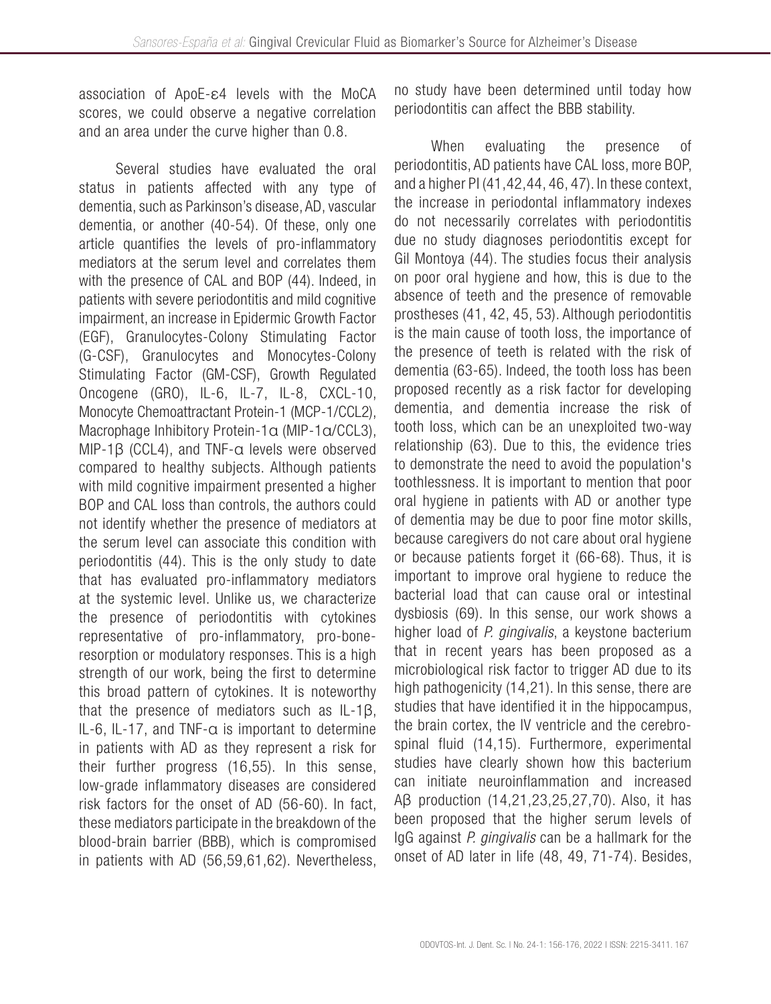association of ApoE-ε4 levels with the MoCA scores, we could observe a negative correlation and an area under the curve higher than 0.8.

Several studies have evaluated the oral status in patients affected with any type of dementia, such as Parkinson's disease, AD, vascular dementia, or another (40-54). Of these, only one article quantifies the levels of pro-inflammatory mediators at the serum level and correlates them with the presence of CAL and BOP (44). Indeed, in patients with severe periodontitis and mild cognitive impairment, an increase in Epidermic Growth Factor (EGF), Granulocytes-Colony Stimulating Factor (G-CSF), Granulocytes and Monocytes-Colony Stimulating Factor (GM-CSF), Growth Regulated Oncogene (GRO), IL-6, IL-7, IL-8, CXCL-10, Monocyte Chemoattractant Protein-1 (MCP-1/CCL2), Macrophage Inhibitory Protein-1α (MIP-1α/CCL3), MIP-1β (CCL4), and TNF-α levels were observed compared to healthy subjects. Although patients with mild cognitive impairment presented a higher BOP and CAL loss than controls, the authors could not identify whether the presence of mediators at the serum level can associate this condition with periodontitis (44). This is the only study to date that has evaluated pro-inflammatory mediators at the systemic level. Unlike us, we characterize the presence of periodontitis with cytokines representative of pro-inflammatory, pro-boneresorption or modulatory responses. This is a high strength of our work, being the first to determine this broad pattern of cytokines. It is noteworthy that the presence of mediators such as IL-1β, IL-6, IL-17, and TNF- $\alpha$  is important to determine in patients with AD as they represent a risk for their further progress (16,55). In this sense, low-grade inflammatory diseases are considered risk factors for the onset of AD (56-60). In fact, these mediators participate in the breakdown of the blood-brain barrier (BBB), which is compromised in patients with AD (56,59,61,62). Nevertheless, no study have been determined until today how periodontitis can affect the BBB stability.

When evaluating the presence of periodontitis, AD patients have CAL loss, more BOP, and a higher PI (41,42,44, 46, 47). In these context, the increase in periodontal inflammatory indexes do not necessarily correlates with periodontitis due no study diagnoses periodontitis except for Gil Montoya (44). The studies focus their analysis on poor oral hygiene and how, this is due to the absence of teeth and the presence of removable prostheses (41, 42, 45, 53). Although periodontitis is the main cause of tooth loss, the importance of the presence of teeth is related with the risk of dementia (63-65). Indeed, the tooth loss has been proposed recently as a risk factor for developing dementia, and dementia increase the risk of tooth loss, which can be an unexploited two-way relationship (63). Due to this, the evidence tries to demonstrate the need to avoid the population's toothlessness. It is important to mention that poor oral hygiene in patients with AD or another type of dementia may be due to poor fine motor skills, because caregivers do not care about oral hygiene or because patients forget it (66-68). Thus, it is important to improve oral hygiene to reduce the bacterial load that can cause oral or intestinal dysbiosis (69). In this sense, our work shows a higher load of *P. gingivalis*, a keystone bacterium that in recent years has been proposed as a microbiological risk factor to trigger AD due to its high pathogenicity (14,21). In this sense, there are studies that have identified it in the hippocampus, the brain cortex, the IV ventricle and the cerebrospinal fluid (14,15). Furthermore, experimental studies have clearly shown how this bacterium can initiate neuroinflammation and increased Aβ production (14,21,23,25,27,70). Also, it has been proposed that the higher serum levels of IgG against *P. gingivalis* can be a hallmark for the onset of AD later in life (48, 49, 71-74). Besides,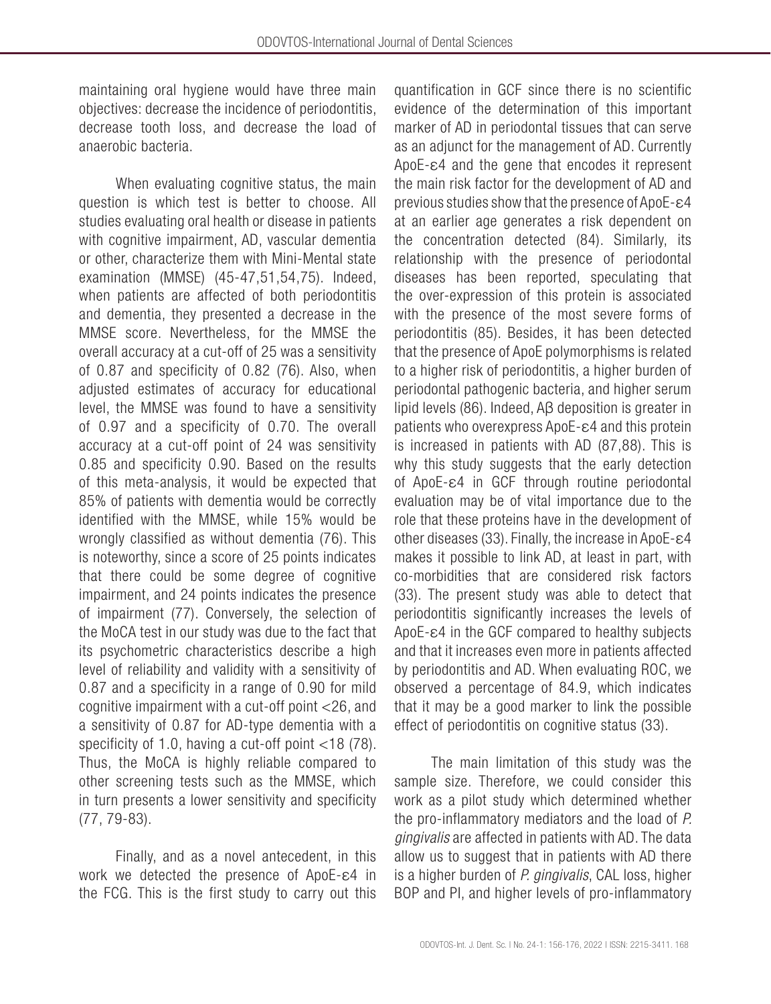maintaining oral hygiene would have three main objectives: decrease the incidence of periodontitis, decrease tooth loss, and decrease the load of anaerobic bacteria.

When evaluating cognitive status, the main question is which test is better to choose. All studies evaluating oral health or disease in patients with cognitive impairment, AD, vascular dementia or other, characterize them with Mini-Mental state examination (MMSE) (45-47,51,54,75). Indeed, when patients are affected of both periodontitis and dementia, they presented a decrease in the MMSE score. Nevertheless, for the MMSE the overall accuracy at a cut-off of 25 was a sensitivity of 0.87 and specificity of 0.82 (76). Also, when adjusted estimates of accuracy for educational level, the MMSE was found to have a sensitivity of 0.97 and a specificity of 0.70. The overall accuracy at a cut-off point of 24 was sensitivity 0.85 and specificity 0.90. Based on the results of this meta-analysis, it would be expected that 85% of patients with dementia would be correctly identified with the MMSE, while 15% would be wrongly classified as without dementia (76). This is noteworthy, since a score of 25 points indicates that there could be some degree of cognitive impairment, and 24 points indicates the presence of impairment (77). Conversely, the selection of the MoCA test in our study was due to the fact that its psychometric characteristics describe a high level of reliability and validity with a sensitivity of 0.87 and a specificity in a range of 0.90 for mild cognitive impairment with a cut-off point <26, and a sensitivity of 0.87 for AD-type dementia with a specificity of 1.0, having a cut-off point <18 (78). Thus, the MoCA is highly reliable compared to other screening tests such as the MMSE, which in turn presents a lower sensitivity and specificity (77, 79-83).

Finally, and as a novel antecedent, in this work we detected the presence of ApoE-ε4 in the FCG. This is the first study to carry out this quantification in GCF since there is no scientific evidence of the determination of this important marker of AD in periodontal tissues that can serve as an adjunct for the management of AD. Currently ApoE-ε4 and the gene that encodes it represent the main risk factor for the development of AD and previous studies show that the presence of ApoE-ε4 at an earlier age generates a risk dependent on the concentration detected (84). Similarly, its relationship with the presence of periodontal diseases has been reported, speculating that the over-expression of this protein is associated with the presence of the most severe forms of periodontitis (85). Besides, it has been detected that the presence of ApoE polymorphisms is related to a higher risk of periodontitis, a higher burden of periodontal pathogenic bacteria, and higher serum lipid levels (86). Indeed, Aβ deposition is greater in patients who overexpress ApoE-ε4 and this protein is increased in patients with AD (87,88). This is why this study suggests that the early detection of ApoE-ε4 in GCF through routine periodontal evaluation may be of vital importance due to the role that these proteins have in the development of other diseases (33). Finally, the increase in ApoE-ε4 makes it possible to link AD, at least in part, with co-morbidities that are considered risk factors (33). The present study was able to detect that periodontitis significantly increases the levels of ApoE-ε4 in the GCF compared to healthy subjects and that it increases even more in patients affected by periodontitis and AD. When evaluating ROC, we observed a percentage of 84.9, which indicates that it may be a good marker to link the possible effect of periodontitis on cognitive status (33).

The main limitation of this study was the sample size. Therefore, we could consider this work as a pilot study which determined whether the pro-inflammatory mediators and the load of *P. gingivalis* are affected in patients with AD. The data allow us to suggest that in patients with AD there is a higher burden of *P. gingivalis*, CAL loss, higher BOP and PI, and higher levels of pro-inflammatory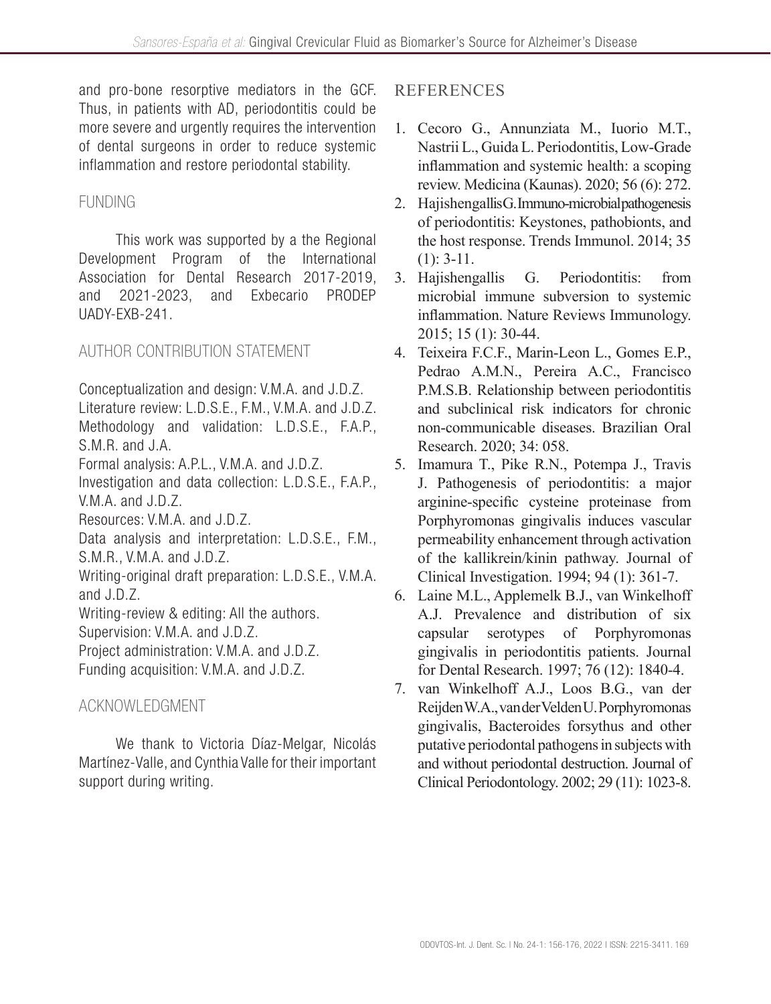and pro-bone resorptive mediators in the GCF. Thus, in patients with AD, periodontitis could be more severe and urgently requires the intervention of dental surgeons in order to reduce systemic inflammation and restore periodontal stability.

# FUNDING

This work was supported by a the Regional Development Program of the International Association for Dental Research 2017-2019, and 2021-2023, and Exbecario PRODEP UADY-EXB-241.

# AUTHOR CONTRIBUTION STATEMENT

Conceptualization and design: V.M.A. and J.D.Z. Literature review: L.D.S.E., F.M., V.M.A. and J.D.Z. Methodology and validation: L.D.S.E., F.A.P., S.M.R. and J.A. Formal analysis: A.P.L., V.M.A. and J.D.Z. Investigation and data collection: L.D.S.E., F.A.P., V.M.A. and J.D.Z. Resources: V.M.A. and J.D.Z. Data analysis and interpretation: L.D.S.E., F.M.,

S.M.R., V.M.A. and J.D.Z.

Writing-original draft preparation: L.D.S.E., V.M.A. and J.D.Z.

Writing-review & editing: All the authors.

Supervision: V.M.A. and J.D.Z.

Project administration: V.M.A. and J.D.Z.

Funding acquisition: V.M.A. and J.D.Z.

# ACKNOWLEDGMENT

We thank to Victoria Díaz-Melgar, Nicolás Martínez-Valle, and Cynthia Valle for their important support during writing.

# **REFERENCES**

- 1. Cecoro G., Annunziata M., Iuorio M.T., Nastrii L., Guida L. Periodontitis, Low-Grade inflammation and systemic health: a scoping review. Medicina (Kaunas). 2020; 56 (6): 272.
- 2. Hajishengallis G. Immuno-microbial pathogenesis of periodontitis: Keystones, pathobionts, and the host response. Trends Immunol. 2014; 35  $(1): 3-11.$
- 3. Hajishengallis G. Periodontitis: from microbial immune subversion to systemic inflammation. Nature Reviews Immunology. 2015; 15 (1): 30-44.
- 4. Teixeira F.C.F., Marin-Leon L., Gomes E.P., Pedrao A.M.N., Pereira A.C., Francisco P.M.S.B. Relationship between periodontitis and subclinical risk indicators for chronic non-communicable diseases. Brazilian Oral Research. 2020; 34: 058.
- 5. Imamura T., Pike R.N., Potempa J., Travis J. Pathogenesis of periodontitis: a major arginine-specific cysteine proteinase from Porphyromonas gingivalis induces vascular permeability enhancement through activation of the kallikrein/kinin pathway. Journal of Clinical Investigation. 1994; 94 (1): 361-7.
- 6. Laine M.L., Applemelk B.J., van Winkelhoff A.J. Prevalence and distribution of six capsular serotypes of Porphyromonas gingivalis in periodontitis patients. Journal for Dental Research. 1997; 76 (12): 1840-4.
- 7. van Winkelhoff A.J., Loos B.G., van der Reijden W.A., van der Velden U. Porphyromonas gingivalis, Bacteroides forsythus and other putative periodontal pathogens in subjects with and without periodontal destruction. Journal of Clinical Periodontology. 2002; 29 (11): 1023-8.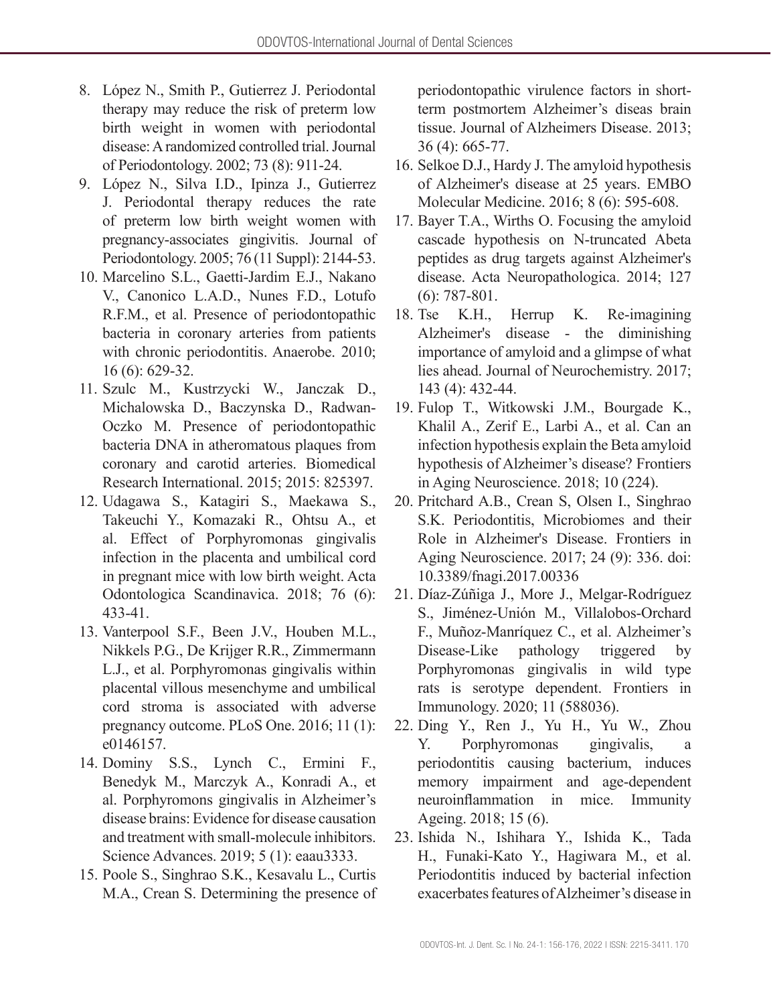- 8. López N., Smith P., Gutierrez J. Periodontal therapy may reduce the risk of preterm low birth weight in women with periodontal disease: A randomized controlled trial. Journal of Periodontology. 2002; 73 (8): 911-24.
- 9. López N., Silva I.D., Ipinza J., Gutierrez J. Periodontal therapy reduces the rate of preterm low birth weight women with pregnancy-associates gingivitis. Journal of Periodontology. 2005; 76 (11 Suppl): 2144-53.
- 10. Marcelino S.L., Gaetti-Jardim E.J., Nakano V., Canonico L.A.D., Nunes F.D., Lotufo R.F.M., et al. Presence of periodontopathic bacteria in coronary arteries from patients with chronic periodontitis. Anaerobe. 2010; 16 (6): 629-32.
- 11. Szulc M., Kustrzycki W., Janczak D., Michalowska D., Baczynska D., Radwan-Oczko M. Presence of periodontopathic bacteria DNA in atheromatous plaques from coronary and carotid arteries. Biomedical Research International. 2015; 2015: 825397.
- 12. Udagawa S., Katagiri S., Maekawa S., Takeuchi Y., Komazaki R., Ohtsu A., et al. Effect of Porphyromonas gingivalis infection in the placenta and umbilical cord in pregnant mice with low birth weight. Acta Odontologica Scandinavica. 2018; 76 (6): 433-41.
- 13. Vanterpool S.F., Been J.V., Houben M.L., Nikkels P.G., De Krijger R.R., Zimmermann L.J., et al. Porphyromonas gingivalis within placental villous mesenchyme and umbilical cord stroma is associated with adverse pregnancy outcome. PLoS One. 2016; 11 (1): e0146157.
- 14. Dominy S.S., Lynch C., Ermini F., Benedyk M., Marczyk A., Konradi A., et al. Porphyromons gingivalis in Alzheimer's disease brains: Evidence for disease causation and treatment with small-molecule inhibitors. Science Advances. 2019; 5 (1): eaau3333.
- 15. Poole S., Singhrao S.K., Kesavalu L., Curtis M.A., Crean S. Determining the presence of

periodontopathic virulence factors in shortterm postmortem Alzheimer's diseas brain tissue. Journal of Alzheimers Disease. 2013; 36 (4): 665-77.

- 16. Selkoe D.J., Hardy J. The amyloid hypothesis of Alzheimer's disease at 25 years. EMBO Molecular Medicine. 2016; 8 (6): 595-608.
- 17. Bayer T.A., Wirths O. Focusing the amyloid cascade hypothesis on N-truncated Abeta peptides as drug targets against Alzheimer's disease. Acta Neuropathologica. 2014; 127 (6): 787-801.
- 18. Tse K.H., Herrup K. Re-imagining Alzheimer's disease - the diminishing importance of amyloid and a glimpse of what lies ahead. Journal of Neurochemistry. 2017; 143 (4): 432-44.
- 19. Fulop T., Witkowski J.M., Bourgade K., Khalil A., Zerif E., Larbi A., et al. Can an infection hypothesis explain the Beta amyloid hypothesis of Alzheimer's disease? Frontiers in Aging Neuroscience. 2018; 10 (224).
- 20. Pritchard A.B., Crean S, Olsen I., Singhrao S.K. Periodontitis, Microbiomes and their Role in Alzheimer's Disease. Frontiers in Aging Neuroscience. 2017; 24 (9): 336. doi: 10.3389/fnagi.2017.00336
- 21. Díaz-Zúñiga J., More J., Melgar-Rodríguez S., Jiménez-Unión M., Villalobos-Orchard F., Muñoz-Manríquez C., et al. Alzheimer's Disease-Like pathology triggered by Porphyromonas gingivalis in wild type rats is serotype dependent. Frontiers in Immunology. 2020; 11 (588036).
- 22. Ding Y., Ren J., Yu H., Yu W., Zhou Y. Porphyromonas gingivalis, a periodontitis causing bacterium, induces memory impairment and age-dependent neuroinflammation in mice. Immunity Ageing. 2018; 15 (6).
- 23. Ishida N., Ishihara Y., Ishida K., Tada H., Funaki-Kato Y., Hagiwara M., et al. Periodontitis induced by bacterial infection exacerbates features of Alzheimer's disease in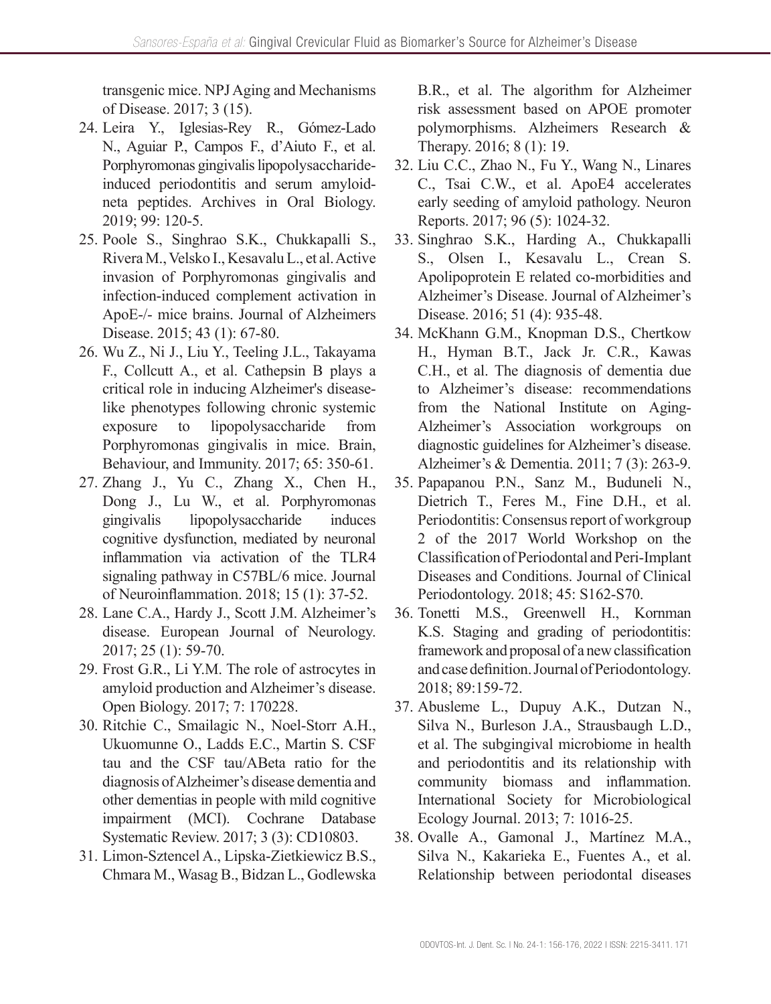transgenic mice. NPJ Aging and Mechanisms of Disease. 2017; 3 (15).

- 24. Leira Y., Iglesias-Rey R., Gómez-Lado N., Aguiar P., Campos F., d'Aiuto F., et al. Porphyromonas gingivalis lipopolysaccharideinduced periodontitis and serum amyloidneta peptides. Archives in Oral Biology. 2019; 99: 120-5.
- 25. Poole S., Singhrao S.K., Chukkapalli S., Rivera M., Velsko I., Kesavalu L., et al. Active invasion of Porphyromonas gingivalis and infection-induced complement activation in ApoE-/- mice brains. Journal of Alzheimers Disease. 2015; 43 (1): 67-80.
- 26. Wu Z., Ni J., Liu Y., Teeling J.L., Takayama F., Collcutt A., et al. Cathepsin B plays a critical role in inducing Alzheimer's diseaselike phenotypes following chronic systemic exposure to lipopolysaccharide from Porphyromonas gingivalis in mice. Brain, Behaviour, and Immunity. 2017; 65: 350-61.
- 27. Zhang J., Yu C., Zhang X., Chen H., Dong J., Lu W., et al. Porphyromonas gingivalis lipopolysaccharide induces cognitive dysfunction, mediated by neuronal inflammation via activation of the TLR4 signaling pathway in C57BL/6 mice. Journal of Neuroinflammation. 2018; 15 (1): 37-52.
- 28. Lane C.A., Hardy J., Scott J.M. Alzheimer's disease. European Journal of Neurology. 2017; 25 (1): 59-70.
- 29. Frost G.R., Li Y.M. The role of astrocytes in amyloid production and Alzheimer's disease. Open Biology. 2017; 7: 170228.
- 30. Ritchie C., Smailagic N., Noel-Storr A.H., Ukuomunne O., Ladds E.C., Martin S. CSF tau and the CSF tau/ABeta ratio for the diagnosis of Alzheimer's disease dementia and other dementias in people with mild cognitive impairment (MCI). Cochrane Database Systematic Review. 2017; 3 (3): CD10803.
- 31. Limon-Sztencel A., Lipska-Zietkiewicz B.S., Chmara M., Wasag B., Bidzan L., Godlewska

B.R., et al. The algorithm for Alzheimer risk assessment based on APOE promoter polymorphisms. Alzheimers Research & Therapy. 2016; 8 (1): 19.

- 32. Liu C.C., Zhao N., Fu Y., Wang N., Linares C., Tsai C.W., et al. ApoE4 accelerates early seeding of amyloid pathology. Neuron Reports. 2017; 96 (5): 1024-32.
- 33. Singhrao S.K., Harding A., Chukkapalli S., Olsen I., Kesavalu L., Crean S. Apolipoprotein E related co-morbidities and Alzheimer's Disease. Journal of Alzheimer's Disease. 2016; 51 (4): 935-48.
- 34. McKhann G.M., Knopman D.S., Chertkow H., Hyman B.T., Jack Jr. C.R., Kawas C.H., et al. The diagnosis of dementia due to Alzheimer's disease: recommendations from the National Institute on Aging-Alzheimer's Association workgroups on diagnostic guidelines for Alzheimer's disease. Alzheimer's & Dementia. 2011; 7 (3): 263-9.
- 35. Papapanou P.N., Sanz M., Buduneli N., Dietrich T., Feres M., Fine D.H., et al. Periodontitis: Consensus report of workgroup 2 of the 2017 World Workshop on the Classification of Periodontal and Peri-Implant Diseases and Conditions. Journal of Clinical Periodontology. 2018; 45: S162-S70.
- 36. Tonetti M.S., Greenwell H., Kornman K.S. Staging and grading of periodontitis: framework and proposal of a new classification and case definition. Journal of Periodontology. 2018; 89:159-72.
- 37. Abusleme L., Dupuy A.K., Dutzan N., Silva N., Burleson J.A., Strausbaugh L.D., et al. The subgingival microbiome in health and periodontitis and its relationship with community biomass and inflammation. International Society for Microbiological Ecology Journal. 2013; 7: 1016-25.
- 38. Ovalle A., Gamonal J., Martínez M.A., Silva N., Kakarieka E., Fuentes A., et al. Relationship between periodontal diseases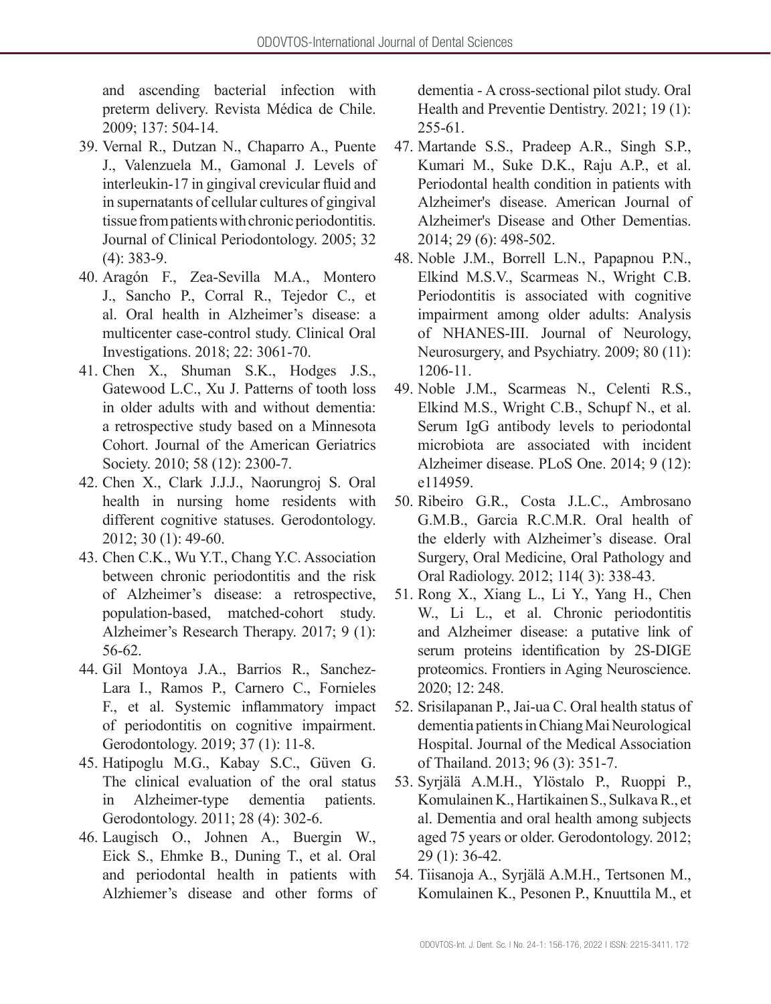and ascending bacterial infection with preterm delivery. Revista Médica de Chile. 2009; 137: 504-14.

- 39. Vernal R., Dutzan N., Chaparro A., Puente J., Valenzuela M., Gamonal J. Levels of interleukin-17 in gingival crevicular fluid and in supernatants of cellular cultures of gingival tissue from patients with chronic periodontitis. Journal of Clinical Periodontology. 2005; 32 (4): 383-9.
- 40. Aragón F., Zea-Sevilla M.A., Montero J., Sancho P., Corral R., Tejedor C., et al. Oral health in Alzheimer's disease: a multicenter case-control study. Clinical Oral Investigations. 2018; 22: 3061-70.
- 41. Chen X., Shuman S.K., Hodges J.S., Gatewood L.C., Xu J. Patterns of tooth loss in older adults with and without dementia: a retrospective study based on a Minnesota Cohort. Journal of the American Geriatrics Society. 2010; 58 (12): 2300-7.
- 42. Chen X., Clark J.J.J., Naorungroj S. Oral health in nursing home residents with different cognitive statuses. Gerodontology. 2012; 30 (1): 49-60.
- 43. Chen C.K., Wu Y.T., Chang Y.C. Association between chronic periodontitis and the risk of Alzheimer's disease: a retrospective, population-based, matched-cohort study. Alzheimer's Research Therapy. 2017; 9 (1): 56-62.
- 44. Gil Montoya J.A., Barrios R., Sanchez-Lara I., Ramos P., Carnero C., Fornieles F., et al. Systemic inflammatory impact of periodontitis on cognitive impairment. Gerodontology. 2019; 37 (1): 11-8.
- 45. Hatipoglu M.G., Kabay S.C., Güven G. The clinical evaluation of the oral status in Alzheimer-type dementia patients. Gerodontology. 2011; 28 (4): 302-6.
- 46. Laugisch O., Johnen A., Buergin W., Eick S., Ehmke B., Duning T., et al. Oral and periodontal health in patients with Alzhiemer's disease and other forms of

dementia - A cross-sectional pilot study. Oral Health and Preventie Dentistry. 2021; 19 (1): 255-61.

- 47. Martande S.S., Pradeep A.R., Singh S.P., Kumari M., Suke D.K., Raju A.P., et al. Periodontal health condition in patients with Alzheimer's disease. American Journal of Alzheimer's Disease and Other Dementias. 2014; 29 (6): 498-502.
- 48. Noble J.M., Borrell L.N., Papapnou P.N., Elkind M.S.V., Scarmeas N., Wright C.B. Periodontitis is associated with cognitive impairment among older adults: Analysis of NHANES-III. Journal of Neurology, Neurosurgery, and Psychiatry. 2009; 80 (11): 1206-11.
- 49. Noble J.M., Scarmeas N., Celenti R.S., Elkind M.S., Wright C.B., Schupf N., et al. Serum IgG antibody levels to periodontal microbiota are associated with incident Alzheimer disease. PLoS One. 2014; 9 (12): e114959.
- 50. Ribeiro G.R., Costa J.L.C., Ambrosano G.M.B., Garcia R.C.M.R. Oral health of the elderly with Alzheimer's disease. Oral Surgery, Oral Medicine, Oral Pathology and Oral Radiology. 2012; 114( 3): 338-43.
- 51. Rong X., Xiang L., Li Y., Yang H., Chen W., Li L., et al. Chronic periodontitis and Alzheimer disease: a putative link of serum proteins identification by 2S-DIGE proteomics. Frontiers in Aging Neuroscience. 2020; 12: 248.
- 52. Srisilapanan P., Jai-ua C. Oral health status of dementia patients in Chiang Mai Neurological Hospital. Journal of the Medical Association of Thailand. 2013; 96 (3): 351-7.
- 53. Syrjälä A.M.H., Ylöstalo P., Ruoppi P., Komulainen K., Hartikainen S., Sulkava R., et al. Dementia and oral health among subjects aged 75 years or older. Gerodontology. 2012; 29 (1): 36-42.
- 54. Tiisanoja A., Syrjälä A.M.H., Tertsonen M., Komulainen K., Pesonen P., Knuuttila M., et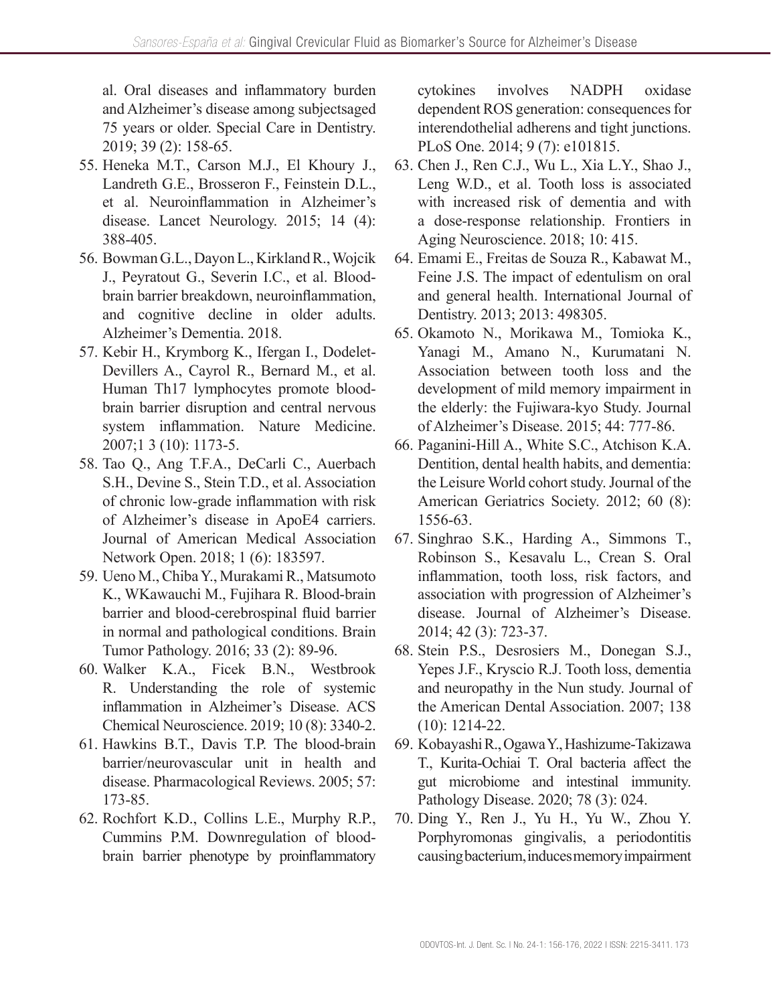al. Oral diseases and inflammatory burden and Alzheimer's disease among subjectsaged 75 years or older. Special Care in Dentistry. 2019; 39 (2): 158-65.

- 55. Heneka M.T., Carson M.J., El Khoury J., Landreth G.E., Brosseron F., Feinstein D.L., et al. Neuroinflammation in Alzheimer's disease. Lancet Neurology. 2015; 14 (4): 388-405.
- 56. Bowman G.L., Dayon L., Kirkland R., Wojcik J., Peyratout G., Severin I.C., et al. Bloodbrain barrier breakdown, neuroinflammation, and cognitive decline in older adults. Alzheimer's Dementia. 2018.
- 57. Kebir H., Krymborg K., Ifergan I., Dodelet-Devillers A., Cayrol R., Bernard M., et al. Human Th17 lymphocytes promote bloodbrain barrier disruption and central nervous system inflammation. Nature Medicine. 2007;1 3 (10): 1173-5.
- 58. Tao Q., Ang T.F.A., DeCarli C., Auerbach S.H., Devine S., Stein T.D., et al. Association of chronic low-grade inflammation with risk of Alzheimer's disease in ApoE4 carriers. Journal of American Medical Association Network Open. 2018; 1 (6): 183597.
- 59. Ueno M., Chiba Y., Murakami R., Matsumoto K., WKawauchi M., Fujihara R. Blood-brain barrier and blood-cerebrospinal fluid barrier in normal and pathological conditions. Brain Tumor Pathology. 2016; 33 (2): 89-96.
- 60. Walker K.A., Ficek B.N., Westbrook R. Understanding the role of systemic inflammation in Alzheimer's Disease. ACS Chemical Neuroscience. 2019; 10 (8): 3340-2.
- 61. Hawkins B.T., Davis T.P. The blood-brain barrier/neurovascular unit in health and disease. Pharmacological Reviews. 2005; 57: 173-85.
- 62. Rochfort K.D., Collins L.E., Murphy R.P., Cummins P.M. Downregulation of bloodbrain barrier phenotype by proinflammatory

cytokines involves NADPH oxidase dependent ROS generation: consequences for interendothelial adherens and tight junctions. PLoS One. 2014; 9 (7): e101815.

- 63. Chen J., Ren C.J., Wu L., Xia L.Y., Shao J., Leng W.D., et al. Tooth loss is associated with increased risk of dementia and with a dose-response relationship. Frontiers in Aging Neuroscience. 2018; 10: 415.
- 64. Emami E., Freitas de Souza R., Kabawat M., Feine J.S. The impact of edentulism on oral and general health. International Journal of Dentistry. 2013; 2013: 498305.
- 65. Okamoto N., Morikawa M., Tomioka K., Yanagi M., Amano N., Kurumatani N. Association between tooth loss and the development of mild memory impairment in the elderly: the Fujiwara-kyo Study. Journal of Alzheimer's Disease. 2015; 44: 777-86.
- 66. Paganini-Hill A., White S.C., Atchison K.A. Dentition, dental health habits, and dementia: the Leisure World cohort study. Journal of the American Geriatrics Society. 2012; 60 (8): 1556-63.
- 67. Singhrao S.K., Harding A., Simmons T., Robinson S., Kesavalu L., Crean S. Oral inflammation, tooth loss, risk factors, and association with progression of Alzheimer's disease. Journal of Alzheimer's Disease. 2014; 42 (3): 723-37.
- 68. Stein P.S., Desrosiers M., Donegan S.J., Yepes J.F., Kryscio R.J. Tooth loss, dementia and neuropathy in the Nun study. Journal of the American Dental Association. 2007; 138 (10): 1214-22.
- 69. Kobayashi R., Ogawa Y., Hashizume-Takizawa T., Kurita-Ochiai T. Oral bacteria affect the gut microbiome and intestinal immunity. Pathology Disease. 2020; 78 (3): 024.
- 70. Ding Y., Ren J., Yu H., Yu W., Zhou Y. Porphyromonas gingivalis, a periodontitis causing bacterium, induces memory impairment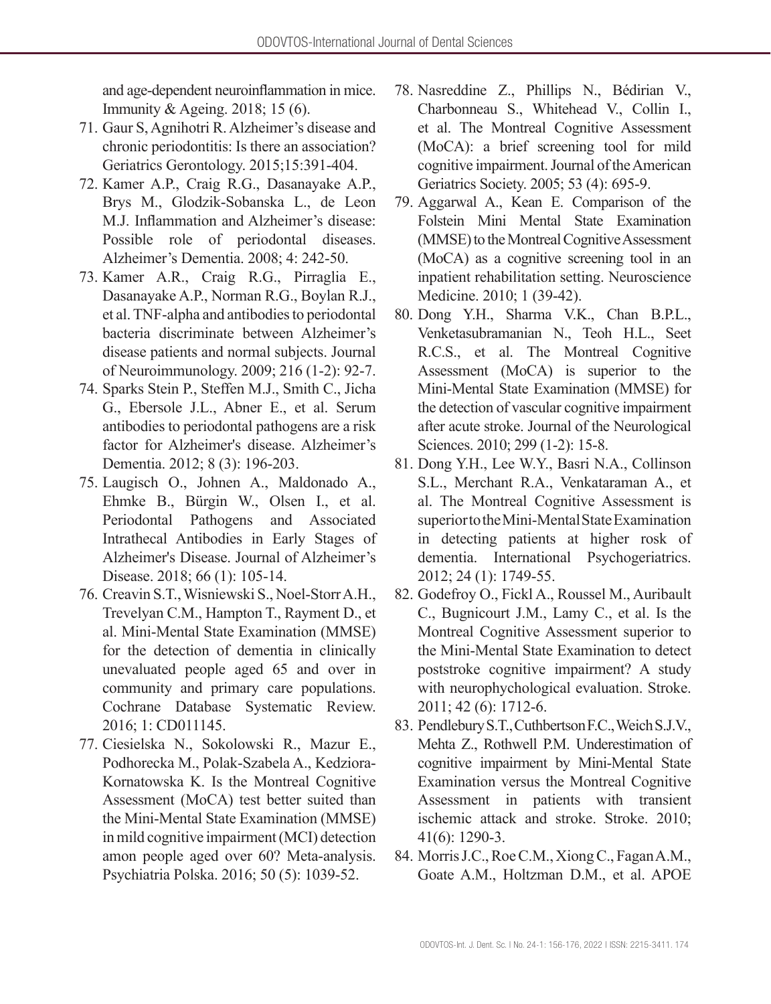and age-dependent neuroinflammation in mice. Immunity & Ageing. 2018; 15 (6).

- 71. Gaur S, Agnihotri R. Alzheimer's disease and chronic periodontitis: Is there an association? Geriatrics Gerontology. 2015;15:391-404.
- 72. Kamer A.P., Craig R.G., Dasanayake A.P., Brys M., Glodzik-Sobanska L., de Leon M.J. Inflammation and Alzheimer's disease: Possible role of periodontal diseases. Alzheimer's Dementia. 2008; 4: 242-50.
- 73. Kamer A.R., Craig R.G., Pirraglia E., Dasanayake A.P., Norman R.G., Boylan R.J., et al. TNF-alpha and antibodies to periodontal bacteria discriminate between Alzheimer's disease patients and normal subjects. Journal of Neuroimmunology. 2009; 216 (1-2): 92-7.
- 74. Sparks Stein P., Steffen M.J., Smith C., Jicha G., Ebersole J.L., Abner E., et al. Serum antibodies to periodontal pathogens are a risk factor for Alzheimer's disease. Alzheimer's Dementia. 2012; 8 (3): 196-203.
- 75. Laugisch O., Johnen A., Maldonado A., Ehmke B., Bürgin W., Olsen I., et al. Periodontal Pathogens and Associated Intrathecal Antibodies in Early Stages of Alzheimer's Disease. Journal of Alzheimer's Disease. 2018; 66 (1): 105-14.
- 76. Creavin S.T., Wisniewski S., Noel-Storr A.H., Trevelyan C.M., Hampton T., Rayment D., et al. Mini-Mental State Examination (MMSE) for the detection of dementia in clinically unevaluated people aged 65 and over in community and primary care populations. Cochrane Database Systematic Review. 2016; 1: CD011145.
- 77. Ciesielska N., Sokolowski R., Mazur E., Podhorecka M., Polak-Szabela A., Kedziora-Kornatowska K. Is the Montreal Cognitive Assessment (MoCA) test better suited than the Mini-Mental State Examination (MMSE) in mild cognitive impairment (MCI) detection amon people aged over 60? Meta-analysis. Psychiatria Polska. 2016; 50 (5): 1039-52.
- 78. Nasreddine Z., Phillips N., Bédirian V., Charbonneau S., Whitehead V., Collin I., et al. The Montreal Cognitive Assessment (MoCA): a brief screening tool for mild cognitive impairment. Journal of the American Geriatrics Society. 2005; 53 (4): 695-9.
- 79. Aggarwal A., Kean E. Comparison of the Folstein Mini Mental State Examination (MMSE) to the Montreal Cognitive Assessment (MoCA) as a cognitive screening tool in an inpatient rehabilitation setting. Neuroscience Medicine. 2010; 1 (39-42).
- 80. Dong Y.H., Sharma V.K., Chan B.P.L., Venketasubramanian N., Teoh H.L., Seet R.C.S., et al. The Montreal Cognitive Assessment (MoCA) is superior to the Mini-Mental State Examination (MMSE) for the detection of vascular cognitive impairment after acute stroke. Journal of the Neurological Sciences. 2010; 299 (1-2): 15-8.
- 81. Dong Y.H., Lee W.Y., Basri N.A., Collinson S.L., Merchant R.A., Venkataraman A., et al. The Montreal Cognitive Assessment is superior to the Mini-Mental State Examination in detecting patients at higher rosk of dementia. International Psychogeriatrics. 2012; 24 (1): 1749-55.
- 82. Godefroy O., Fickl A., Roussel M., Auribault C., Bugnicourt J.M., Lamy C., et al. Is the Montreal Cognitive Assessment superior to the Mini-Mental State Examination to detect poststroke cognitive impairment? A study with neurophychological evaluation. Stroke. 2011; 42 (6): 1712-6.
- 83. Pendlebury S.T., Cuthbertson F.C., Weich S.J.V., Mehta Z., Rothwell P.M. Underestimation of cognitive impairment by Mini-Mental State Examination versus the Montreal Cognitive Assessment in patients with transient ischemic attack and stroke. Stroke. 2010; 41(6): 1290-3.
- 84. Morris J.C., Roe C.M., Xiong C., Fagan A.M., Goate A.M., Holtzman D.M., et al. APOE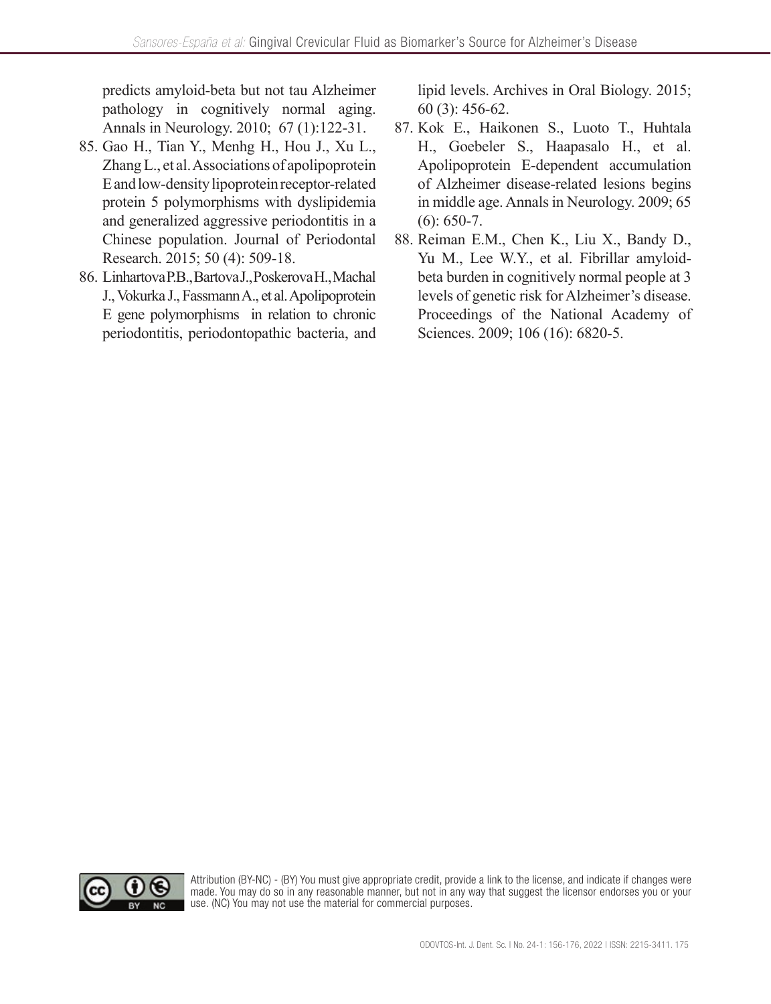predicts amyloid-beta but not tau Alzheimer pathology in cognitively normal aging. Annals in Neurology. 2010; 67 (1):122-31.

- 85. Gao H., Tian Y., Menhg H., Hou J., Xu L., Zhang L., et al. Associations of apolipoprotein E and low-density lipoprotein receptor-related protein 5 polymorphisms with dyslipidemia and generalized aggressive periodontitis in a Chinese population. Journal of Periodontal Research. 2015; 50 (4): 509-18.
- 86. Linhartova P.B., Bartova J., Poskerova H., Machal J., Vokurka J., Fassmann A., et al. Apolipoprotein E gene polymorphisms in relation to chronic periodontitis, periodontopathic bacteria, and

lipid levels. Archives in Oral Biology. 2015; 60 (3): 456-62.

- 87. Kok E., Haikonen S., Luoto T., Huhtala H., Goebeler S., Haapasalo H., et al. Apolipoprotein E-dependent accumulation of Alzheimer disease-related lesions begins in middle age. Annals in Neurology. 2009; 65  $(6)$ : 650-7.
- 88. Reiman E.M., Chen K., Liu X., Bandy D., Yu M., Lee W.Y., et al. Fibrillar amyloidbeta burden in cognitively normal people at 3 levels of genetic risk for Alzheimer's disease. Proceedings of the National Academy of Sciences. 2009; 106 (16): 6820-5.



Attribution (BY-NC) - (BY) You must give appropriate credit, provide a link to the license, and indicate if changes were made. You may do so in any reasonable manner, but not in any way that suggest the licensor endorses you or your use. (NC) You may not use the material for commercial purposes.